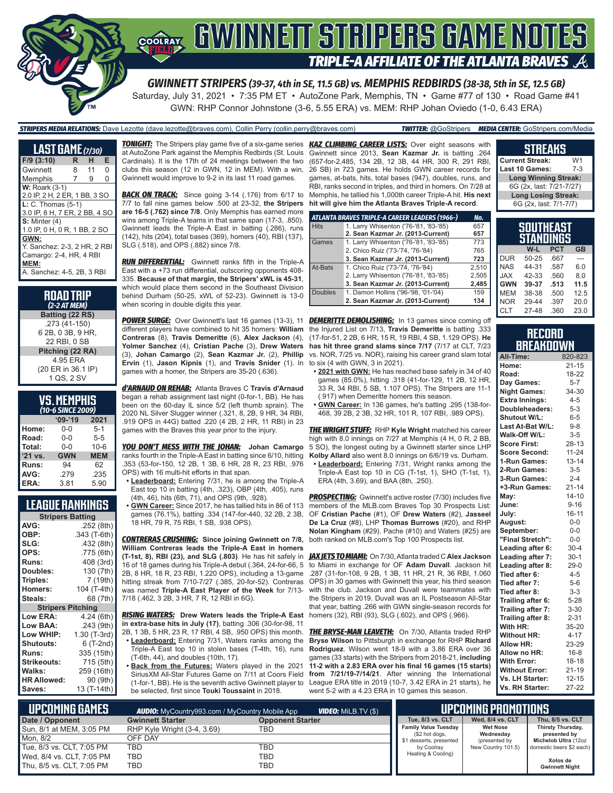

# **COORAY GWINNEIT STRIPERS GAME NOTES TRIPLE-A AFFILIATE OF THE ATLANTA BRAVES**

*GWINNETT STRIPERS (39-37, 4th in SE, 11.5 GB) vs. MEMPHIS REDBIRDS (38-38, 5th in SE, 12.5 GB)* Saturday, July 31, 2021 • 7:35 PM ET • AutoZone Park, Memphis, TN • Game #77 of 130 • Road Game #41

GWN: RHP Connor Johnstone (3-6, 5.55 ERA) vs. MEM: RHP Johan Oviedo (1-0, 6.43 ERA)

*STRIPERS MEDIA RELATIONS:* Dave Lezotte (dave.lezotte@braves.com), Collin Perry (collin.perry@braves.com) *TWITTER:* @GoStripers *MEDIA CENTER:* GoStripers.com/Media

| <b>LAST GAME</b> (7/30)                                                 |    |    |   |  |
|-------------------------------------------------------------------------|----|----|---|--|
| $F/9$ (3:10)                                                            | R. | н  | Е |  |
| Gwinnett                                                                | 8  | 11 | O |  |
| Memphis                                                                 | 7  | 9  | O |  |
| <b>W: Roark (3-1)</b><br>2.0 IP, 2 H, 2 ER, 1 BB, 3 SO                  |    |    |   |  |
| $L: C.$ Thomas $(5-1)$<br>3.0 IP, 8 H, 7 ER, 2 BB, 4 SO                 |    |    |   |  |
| $S:$ Minter $(4)$<br>1.0 IP, 0 H, 0 R, 1 BB, 2 SO                       |    |    |   |  |
| GWN:<br>Y. Sanchez: 2-3, 2 HR, 2 RBI<br>Camargo: 2-4, HR, 4 RBI<br>MEM: |    |    |   |  |
| A. Sanchez: 4-5, 2B, 3 RBI                                              |    |    |   |  |

| <b>ROAD TRIP</b><br>(2-2 AT MEM) |
|----------------------------------|
| Batting (22 RS)                  |
| .273 (41-150)                    |
| 6 2B, 0 3B, 9 HR,                |
| 22 RBI, 0 SB                     |
| Pitching (22 RA)                 |
| 4 95 FRA                         |
| (20 ER in 36.1 IP)               |
| 1 QS, 2 SV                       |

| <b>VS. MEMPHIS</b>     |  |  |
|------------------------|--|--|
| $A \cap C$ CINCE 2000) |  |  |

| (10-6 SINCE 2009) |            |            |  |  |  |  |
|-------------------|------------|------------|--|--|--|--|
|                   | $09 - 19$  | 2021       |  |  |  |  |
| Home:             | 0-0        | $5 - 1$    |  |  |  |  |
| Road:             | $0 - 0$    | $5 - 5$    |  |  |  |  |
| Total:            | $0 - 0$    | $10 - 6$   |  |  |  |  |
| $'21$ vs.         | <b>GWN</b> | <b>MEM</b> |  |  |  |  |
| Runs:             | 94         | 62         |  |  |  |  |
| AVG:              | .279       | .235       |  |  |  |  |
| ERA:              | 3.81       | 5.90       |  |  |  |  |

### **LEAGUE RANKINGS**

| <b>Stripers Batting</b> |                 |  |  |  |  |
|-------------------------|-----------------|--|--|--|--|
| AVG:                    | .252 (8th)      |  |  |  |  |
| OBP:                    | .343 (T-6th)    |  |  |  |  |
| SLG:                    | .432 (8th)      |  |  |  |  |
| OPS:                    | .775 (6th)      |  |  |  |  |
| <b>Runs:</b>            | 408 (3rd)       |  |  |  |  |
| Doubles:                | 130 (7th)       |  |  |  |  |
| Triples:                | 7 (19th)        |  |  |  |  |
| <b>Homers:</b>          | 104 (T-4th)     |  |  |  |  |
| Steals:                 | 68 (7th)        |  |  |  |  |
| <b>Stripers</b>         | <b>Pitching</b> |  |  |  |  |
| <b>Low ERA:</b>         | 4.24 (6th)      |  |  |  |  |
| Low BAA:                | .243 (9th)      |  |  |  |  |
| Low WHIP:               | 1.30 (T-3rd)    |  |  |  |  |
| <b>Shutouts:</b>        | 6 (T-2nd)       |  |  |  |  |
| <b>Runs:</b>            | 335 (15th)      |  |  |  |  |
| Strikeouts:             | 715 (5th)       |  |  |  |  |
| Walks:                  | 259 (16th)      |  |  |  |  |
| <b>HR Allowed:</b>      | 90 (9th)        |  |  |  |  |
| Saves:                  | 13 (T-14th)     |  |  |  |  |

*TONIGHT:* The Stripers play game five of a six-game series *KAZ CLIMBING CAREER LISTS:* Over eight seasons with at AutoZone Park against the Memphis Redbirds (St. Louis Cardinals). It is the 17th of 24 meetings between the two clubs this season (12 in GWN, 12 in MEM). With a win, Gwinnett would improve to 9-2 in its last 11 road games.

**BACK ON TRACK:** Since going 3-14 (.176) from 6/17 to 7/7 to fall nine games below .500 at 23-32, **the Stripers are 16-5 (.762) since 7/8**. Only Memphis has earned more wins among Triple-A teams in that same span (17-3, .850). Gwinnett leads the Triple-A East in batting (.286), runs (142), hits (204), total bases (369), homers (40), RBI (137), SLG (.518), and OPS (.882) since 7/8.

*RUN DIFFERENTIAL:* Gwinnett ranks fifth in the Triple-A East with a +73 run differential, outscoring opponents 408- 335. **Because of that margin, the Stripers' xWL is 45-31**, which would place them second in the Southeast Division behind Durham (50-25, xWL of 52-23). Gwinnett is 13-0 when scoring in double digits this year.

*POWER SURGE:* Over Gwinnett's last 16 games (13-3), 11 *DEMERITTE DEMOLISHING:* In 13 games since coming off **Contreras** (8), **Travis Demeritte** (6), **Alex Jackson** (4), **Yolmer Sanchez** (4), **Cristian Pache** (3), **Drew Waters** (3), **Johan Camargo** (2), **Sean Kazmar Jr.** (2), **Phillip Ervin** (1), **Jason Kipnis** (1), and **Travis Snider** (1). In games with a homer, the Stripers are 35-20 (.636).

*d'ARNAUD ON REHAB:* Atlanta Braves C **Travis d'Arnaud** began a rehab assignment last night (0-for-1, BB). He has been on the 60-day IL since 5/2 (left thumb sprain). The 2020 NL Silver Slugger winner (.321, 8, 2B, 9 HR, 34 RBI, .919 OPS in 44G) batted .220 (4 2B, 2 HR, 11 RBI) in 23 games with the Braves this year prior to the injury.

*YOU DON'T MESS WITH THE JOHAN:* **Johan Camargo**  ranks fourth in the Triple-A East in batting since 6/10, hitting .353 (53-for-150, 12 2B, 1 3B, 6 HR, 28 R, 23 RBI, .976 OPS) with 16 multi-hit efforts in that span.

- **• Leaderboard:** Entering 7/31, he is among the Triple-A East top 10 in batting (4th, .323), OBP (4th, .405), runs (4th, 46), hits (6th, 71), and OPS (9th, .928).
- games (76.1%), batting .334 (147-for-440, 32 2B, 2 3B, 18 HR, 79 R, 75 RBI, 1 SB, .938 OPS).

*CONTRERAS CRUSHING:* **Since joining Gwinnett on 7/8, William Contreras leads the Triple-A East in homers (T-1st, 8), RBI (23), and SLG (.803)**. He has hit safely in 16 of 18 games during his Triple-A debut (.364, 24-for-66, 5 2B, 8 HR, 18 R, 23 RBI, 1.220 OPS), including a 13-game hitting streak from 7/10-7/27 (.385, 20-for-52). Contreras was named **Triple-A East Player of the Week** for 7/13- 7/18 (.462, 3 2B, 3 HR, 7 R, 12 RBI in 6G).

*RISING WATERS:* **Drew Waters leads the Triple-A East**  homers (32), RBI (93), SLG (.602), and OPS (.966). **in extra-base hits in July (17)**, batting .306 (30-for-98, 11 2B, 1 3B, 5 HR, 23 R, 17 RBI, 4 SB, .950 OPS) this month. **• Leaderboard:** Entering 7/31, Waters ranks among the

Triple-A East top 10 in stolen bases (T-4th, 16), runs (T-6th, 44), and doubles (10th, 17). **• Back from the Futures:** Waters played in the 2021 SiriusXM All-Star Futures Game on 7/11 at Coors Field (1-for-1, BB). He is the seventh active Gwinnett player to

be selected, first since **Touki Toussaint** in 2018.

Gwinnett since 2013, **Sean Kazmar Jr.** is batting .264 (657-for-2,485, 134 2B, 12 3B, 44 HR, 300 R, 291 RBI, 26 SB) in 723 games. He holds GWN career records for games, at-bats, hits, total bases (947), doubles, runs, and RBI, ranks second in triples, and third in homers. On 7/28 at Memphis, he tallied his 1,000th career Triple-A hit. **His next hit will give him the Atlanta Braves Triple-A record**.

|                | ATLANTA BRAVES TRIPLE-A CAREER LEADERS (1966-) | No.   |
|----------------|------------------------------------------------|-------|
| <b>Hits</b>    | 1. Larry Whisenton ('76-'81, '83-'85)          | 657   |
|                | 2. Sean Kazmar Jr. (2013-Current)              | 657   |
| Games          | 1. Larry Whisenton ('76-'81, '83-'85)          | 773   |
|                | 2. Chico Ruiz ('73-'74, '76-'84)               | 765   |
|                | 3. Sean Kazmar Jr. (2013-Current)              | 723   |
| At-Bats        | 1. Chico Ruiz ('73-'74, '76-'84)               | 2.510 |
|                | 2. Larry Whisenton ('76-'81, '83-'85)          | 2.505 |
|                | 3. Sean Kazmar Jr. (2013-Current)              | 2.485 |
| <b>Doubles</b> | 1. Damon Hollins ('96-'98, '01-'04)            | 159   |
|                | 2. Sean Kazmar Jr. (2013-Current)              | 134   |
|                |                                                |       |

different players have combined to hit 35 homers: **William**  the Injured List on 7/13, **Travis Demeritte** is batting .333 (17-for-51, 2 2B, 6 HR, 15 R, 19 RBI, 4 SB, 1.129 OPS). **He has hit three grand slams since 7/17** (7/17 at CLT, 7/23 vs. NOR, 7/25 vs. NOR), raising his career grand slam total to six (4 with GWN, 3 in 2021).

- **• 2021 with GWN:** He has reached base safely in 34 of 40 games (85.0%), hitting .318 (41-for-129, 11 2B, 12 HR, 33 R, 34 RBI, 5 SB, 1.107 OPS). The Stripers are 11-1 (.917) when Demeritte homers this season.
- **• GWN Career:** In 136 games, he's batting .295 (138-for-468, 39 2B, 2 3B, 32 HR, 101 R, 107 RBI, .989 OPS).

*THE WRIGHT STUFF:* RHP **Kyle Wright** matched his career high with 8.0 innings on 7/27 at Memphis (4 H, 0 R, 2 BB, 5 SO), the longest outing by a Gwinnett starter since LHP **Kolby Allard** also went 8.0 innings on 6/6/19 vs. Durham.

**• Leaderboard:** Entering 7/31, Wright ranks among the Triple-A East top 10 in CG (T-1st, 1), SHO (T-1st, 1), ERA (4th, 3.69), and BAA (8th, .250).

**• GWN Career:** Since 2017, he has tallied hits in 86 of 113 members of the MLB.com Braves Top 30 Prospects List: **PROSPECTING:** Gwinnett's active roster (7/30) includes five OF **Cristian Pache** (#1), OF **Drew Waters** (#2), **Jasseel De La Cruz** (#8), LHP **Thomas Burrows** (#20), and RHP **Nolan Kingham** (#29). Pache (#10) and Waters (#25) are both ranked on MLB.com's Top 100 Prospects list.

> *JAX JETS TO MIAMI:* On 7/30, Atlanta traded C **Alex Jackson** to Miami in exchange for OF **Adam Duvall**. Jackson hit .287 (31-for-108, 9 2B, 1 3B, 11 HR, 21 R, 36 RBI, 1.060 OPS) in 30 games with Gwinnett this year, his third season with the club. Jackson and Duvall were teammates with the Stripers in 2019. Duvall was an IL Postseason All-Star that year, batting .266 with GWN single-season records for

> **THE BRYSE-MAN LEAVETH:** On 7/30, Atlanta traded RHP **Bryse Wilson** to Pittsburgh in exchange for RHP **Richard Rodriguez**. Wilson went 18-9 with a 3.86 ERA over 36 games (33 starts) with the Stripers from 2018-21, **including 11-2 with a 2.83 ERA over his final 16 games (15 starts) from 7/21/19-7/14/21**. After winning the International League ERA title in 2019 (10-7, 3.42 ERA in 21 starts), he went 5-2 with a 4.23 ERA in 10 games this season.

### **STREAKS**

**Current Streak:** W1<br>Last 10 Games: 7-3 **Last 10 Games: Long Winning Streak:** 6G (2x, last: 7/21-7/27) **Long Losing Streak:** 6G (2x, last: 7/1-7/7)

## **SOUTHEAST STANDINGS**

|            | W-L   | <b>PCT</b> | GB   |
|------------|-------|------------|------|
| <b>DUR</b> | 50-25 | .667       |      |
| <b>NAS</b> | 44-31 | .587       | 6.0  |
| <b>JAX</b> | 42-33 | .560       | 8.0  |
| <b>GWN</b> | 39-37 | .513       | 11.5 |
| <b>MEM</b> | 38-38 | .500       | 12.5 |
| <b>NOR</b> | 29-44 | .397       | 20.0 |
| <b>CLT</b> | 27-48 | .360       | 23.0 |

### **RECORD BREAKDOWN**

| All-Time:             | 820-823   |
|-----------------------|-----------|
| Home:                 | 21-15     |
| Road:                 | 18-22     |
| Day Games:            | $5 - 7$   |
| <b>Night Games:</b>   | 34-30     |
| <b>Extra Innings:</b> | $4 - 5$   |
| Doubleheaders:        | $5 - 3$   |
| Shutout W/L:          | $6 - 5$   |
| Last At-Bat W/L:      | $9 - 8$   |
| Walk-Off W/L:         | $3 - 5$   |
| <b>Score First:</b>   | 28-13     |
| <b>Score Second:</b>  | $11 - 24$ |
| 1-Run Games:          | $13 - 14$ |
| 2-Run Games:          | $3 - 5$   |
| 3-Run Games:          | $2 - 4$   |
| +3-Run Games:         | $21 - 14$ |
| May:                  | $14 - 10$ |
| June:                 | $9 - 16$  |
| July:                 | 16-11     |
| August:               | $0-0$     |
| September:            | $0-0$     |
| "Final Stretch":      | $0-0$     |
| Leading after 6:      | $30 - 4$  |
| Leading after 7:      | $30-1$    |
| Leading after 8:      | $29-0$    |
| Tied after 6:         | $4 - 5$   |
| Tied after 7:         | $5-6$     |
| Tied after 8:         | $3 - 3$   |
| Trailing after 6:     | $5 - 28$  |
| Trailing after 7:     | $3 - 30$  |
| Trailing after 8:     | $2 - 31$  |
| With HR:              | 35-20     |
| <b>Without HR:</b>    | $4 - 17$  |
| <b>Allow HR:</b>      | 23-29     |
| Allow no HR:          | $16 - 8$  |
| <b>With Error:</b>    | $18 - 18$ |
| <b>Without Error:</b> | $21 - 19$ |
| Vs. LH Starter:       | $12 - 15$ |
| Vs. RH Starter:       | 27-22     |

| L UPCOMING GAMES I        | <b>VIDEO:</b> Milb.TV (\$)<br><b>AUDIO:</b> MyCountry993.com / MyCountry Mobile App |                         |  |                                               | LUPCOMING PROMOTIONS <b>'</b> |                                   |
|---------------------------|-------------------------------------------------------------------------------------|-------------------------|--|-----------------------------------------------|-------------------------------|-----------------------------------|
| Date / Opponent           | <b>Gwinnett Starter</b>                                                             | <b>Opponent Starter</b> |  | Tue, 8/3 vs. CLT                              | Wed. 8/4 vs. CLT              | Thu, 8/5 vs. CLT                  |
| Sun, 8/1 at MEM, 3:05 PM  | RHP Kyle Wright (3-4, 3.69)                                                         | TBD                     |  | <b>Family Value Tuesday</b><br>(\$2 hot dogs, | <b>Wet Nose</b><br>Wednesday  | Thirsty Thursday,<br>presented by |
| Mon. 8/2                  | OFF DAY                                                                             |                         |  | \$1 desserts, presented                       | (presented by                 | Michelob Ultra (12oz              |
| Tue, 8/3 vs. CLT, 7:05 PM | TBD                                                                                 | TBD                     |  | by Coolray                                    | New Country 101.5)            | domestic beers \$2 each)          |
| Wed, 8/4 vs. CLT, 7:05 PM | TBD                                                                                 | TBD                     |  | Heating & Cooling)                            |                               | Xolos de                          |
| Thu. 8/5 vs. CLT. 7:05 PM | TBD                                                                                 | TBD                     |  |                                               |                               | <b>Gwinnett Night</b>             |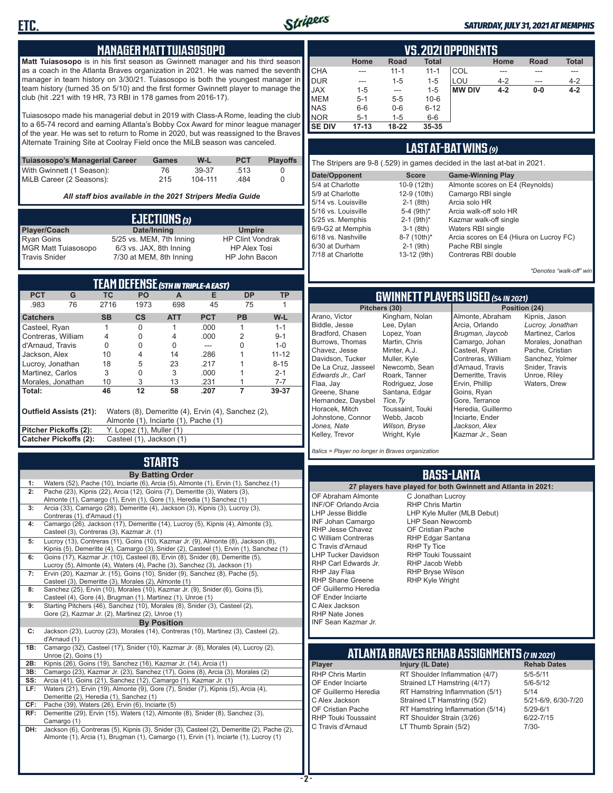

#### *SATURDAY, JULY 31, 2021 AT MEMPHIS*

### **MANAGER MATT TUIASOSOPO**

**Matt Tuiasosopo** is in his first season as Gwinnett manager and his third season as a coach in the Atlanta Braves organization in 2021. He was named the seventh manager in team history on 3/30/21. Tuiasosopo is both the youngest manager in team history (turned 35 on 5/10) and the first former Gwinnett player to manage the club (hit .221 with 19 HR, 73 RBI in 178 games from 2016-17).

Tuiasosopo made his managerial debut in 2019 with Class-A Rome, leading the club to a 65-74 record and earning Atlanta's Bobby Cox Award for minor league manager of the year. He was set to return to Rome in 2020, but was reassigned to the Braves Alternate Training Site at Coolray Field once the MiLB season was canceled.

| Tuiasosopo's Managerial Career | Games | W-L     | <b>PCT</b> | <b>Plavoffs</b> |
|--------------------------------|-------|---------|------------|-----------------|
| With Gwinnett (1 Season):      | 76    | 39-37   | .513       |                 |
| MiLB Career (2 Seasons):       | 215   | 104-111 | 484        |                 |

*All staff bios available in the 2021 Stripers Media Guide*

| EJECTIONS (3)              |                          |                         |  |  |  |
|----------------------------|--------------------------|-------------------------|--|--|--|
| Player/Coach               | Date/Inning              | <b>Umpire</b>           |  |  |  |
| <b>Ryan Goins</b>          | 5/25 vs. MEM, 7th Inning | <b>HP Clint Vondrak</b> |  |  |  |
| <b>MGR Matt Tuiasosopo</b> | 6/3 vs. JAX, 8th Inning  | <b>HP Alex Tosi</b>     |  |  |  |
| <b>Travis Snider</b>       | 7/30 at MEM, 8th Inning  | HP John Bacon           |  |  |  |

| TEAM DEFENSE (5TH IN TRIPLE-A EAST)                                                                                  |                                                          |           |                          |            |            |           |           |
|----------------------------------------------------------------------------------------------------------------------|----------------------------------------------------------|-----------|--------------------------|------------|------------|-----------|-----------|
| <b>PCT</b>                                                                                                           | G                                                        | ТC        | <b>PO</b>                | A          | Е          | <b>DP</b> | <b>TP</b> |
| .983                                                                                                                 | 76                                                       | 2716      | 1973                     | 698        | 45         | 75        |           |
| <b>Catchers</b>                                                                                                      |                                                          | <b>SB</b> | $\mathsf{cs}$            | <b>ATT</b> | <b>PCT</b> | <b>PB</b> | W-L       |
| Casteel, Ryan                                                                                                        |                                                          |           | 0                        |            | .000       | 1         | $1 - 1$   |
| Contreras, William                                                                                                   |                                                          | 4         | 0                        | 4          | .000       | 2         | $9 - 1$   |
| d'Arnaud, Travis                                                                                                     |                                                          | 0         | 0                        | 0          |            | 0         | $1 - 0$   |
| Jackson, Alex                                                                                                        |                                                          | 10        | 4                        | 14         | .286       |           | $11 - 12$ |
| Lucroy, Jonathan                                                                                                     |                                                          | 18        | 5                        | 23         | .217       |           | $8 - 15$  |
| Martinez, Carlos                                                                                                     |                                                          | 3         | 0                        | 3          | .000       |           | $2 - 1$   |
| Morales, Jonathan                                                                                                    |                                                          | 10        | 3                        | 13         | .231       |           | $7 - 7$   |
| Total:                                                                                                               | 46<br>12<br>58<br>.207                                   |           |                          |            |            | 39-37     |           |
| Waters (8), Demeritte (4), Ervin (4), Sanchez (2),<br>Outfield Assists (21):<br>Almonte (1), Inciarte (1), Pache (1) |                                                          |           |                          |            |            |           |           |
| <b>Pitcher Pickoffs (2):</b>                                                                                         |                                                          |           | Y. Lopez (1), Muller (1) |            |            |           |           |
|                                                                                                                      | <b>Catcher Pickoffs (2):</b><br>Casteel (1), Jackson (1) |           |                          |            |            |           |           |

## **STARTS**

|     | <b>By Batting Order</b>                                                                    |
|-----|--------------------------------------------------------------------------------------------|
| 1:  | Waters (52), Pache (10), Inciarte (6), Arcia (5), Almonte (1), Ervin (1), Sanchez (1)      |
| 2:  | Pache (23), Kipnis (22), Arcia (12), Goins (7), Demeritte (3), Waters (3),                 |
|     | Almonte (1), Camargo (1), Ervin (1), Gore (1), Heredia (1) Sanchez (1)                     |
| 3:  | Arcia (33), Camargo (28), Demeritte (4), Jackson (3), Kipnis (3), Lucroy (3),              |
|     | Contreras (1), d'Arnaud (1)                                                                |
| 4:  | Camargo (26), Jackson (17), Demeritte (14), Lucroy (5), Kipnis (4), Almonte (3),           |
|     | Casteel (3), Contreras (3), Kazmar Jr. (1)                                                 |
| 5:  | Lucroy (13), Contreras (11), Goins (10), Kazmar Jr. (9), Almonte (8), Jackson (8),         |
|     | Kipnis (5), Demeritte (4), Camargo (3), Snider (2), Casteel (1), Ervin (1), Sanchez (1)    |
| 6:  | Goins (17), Kazmar Jr. (10), Casteel (8), Ervin (8), Snider (8), Demeritte (5),            |
|     | Lucroy (5), Almonte (4), Waters (4), Pache (3), Sanchez (3), Jackson (1)                   |
| 7:  | Ervin (20), Kazmar Jr. (15), Goins (10), Snider (9), Sanchez (8), Pache (5),               |
|     | Casteel (3), Demeritte (3), Morales (2), Almonte (1)                                       |
| 8:  | Sanchez (25), Ervin (10), Morales (10), Kazmar Jr. (9), Snider (6), Goins (5),             |
|     | Casteel (4), Gore (4), Brugman (1), Martinez (1), Unroe (1)                                |
| 9:  | Starting Pitchers (46), Sanchez (10), Morales (8), Snider (3), Casteel (2),                |
|     | Gore (2), Kazmar Jr. (2), Martinez (2), Unroe (1)                                          |
|     | <b>By Position</b>                                                                         |
| C:  | Jackson (23), Lucroy (23), Morales (14), Contreras (10), Martinez (3), Casteel (2),        |
|     | d'Arnaud (1)                                                                               |
| 1B: | Camargo (32), Casteel (17), Snider (10), Kazmar Jr. (8), Morales (4), Lucroy (2),          |
|     | Unroe (2), Goins (1)                                                                       |
| 2B: | Kipnis (26), Goins (19), Sanchez (16), Kazmar Jr. (14), Arcia (1)                          |
| 3B: | Camargo (23), Kazmar Jr. (23), Sanchez (17), Goins (8), Arcia (3), Morales (2)             |
| SS: | Arcia (41), Goins (21), Sanchez (12), Camargo (1), Kazmar Jr. (1)                          |
| LF: | Waters (21), Ervin (19), Almonte (9), Gore (7), Snider (7), Kipnis (5), Arcia (4),         |
|     | Demeritte (2), Heredia (1), Sanchez (1)                                                    |
| CF: | Pache (39), Waters (26), Ervin (6), Inciarte (5)                                           |
| RF: | Demeritte (29), Ervin (15), Waters (12), Almonte (8), Snider (8), Sanchez (3),             |
|     | Camargo (1)                                                                                |
| DH: | Jackson (6), Contreras (5), Kipnis (3), Snider (3), Casteel (2), Demeritte (2), Pache (2), |
|     | Almonte (1), Arcia (1), Brugman (1), Camargo (1), Ervin (1), Inciarte (1), Lucroy (1)      |
|     |                                                                                            |
|     |                                                                                            |

| VS. 2021 OPPONENTS |           |           |              |               |         |             |              |  |  |  |  |  |  |
|--------------------|-----------|-----------|--------------|---------------|---------|-------------|--------------|--|--|--|--|--|--|
|                    | Home      | Road      | <b>Total</b> |               | Home    | <b>Road</b> | <b>Total</b> |  |  |  |  |  |  |
| <b>CHA</b>         | ---       | $11 - 1$  | $11 - 1$     | COL           |         |             |              |  |  |  |  |  |  |
| <b>DUR</b>         | ---       | $1 - 5$   | $1 - 5$      | LOU           | $4 - 2$ | ---         | $4 - 2$      |  |  |  |  |  |  |
| <b>JAX</b>         | $1 - 5$   | ---       | $1 - 5$      | <b>MW DIV</b> | $4 - 2$ | $0-0$       | $4 - 2$      |  |  |  |  |  |  |
| <b>IMEM</b>        | $5 - 1$   | $5 - 5$   | $10 - 6$     |               |         |             |              |  |  |  |  |  |  |
| <b>NAS</b>         | $6-6$     | $0-6$     | $6 - 12$     |               |         |             |              |  |  |  |  |  |  |
| <b>NOR</b>         | $5-1$     | $1 - 5$   | $6-6$        |               |         |             |              |  |  |  |  |  |  |
| I SE DIV           | $17 - 13$ | $18 - 22$ | 35-35        |               |         |             |              |  |  |  |  |  |  |

### **LAST AT-BAT WINS** *(9)*

| The Stripers are 9-8 (.529) in games decided in the last at-bat in 2021. |                          |                                         |  |  |  |  |  |  |  |  |
|--------------------------------------------------------------------------|--------------------------|-----------------------------------------|--|--|--|--|--|--|--|--|
| Date/Opponent                                                            | <b>Score</b>             | <b>Game-Winning Play</b>                |  |  |  |  |  |  |  |  |
| 5/4 at Charlotte                                                         | 10-9 (12th)              | Almonte scores on E4 (Reynolds)         |  |  |  |  |  |  |  |  |
| 5/9 at Charlotte                                                         | 12-9 (10th)              | Camargo RBI single                      |  |  |  |  |  |  |  |  |
| 5/14 vs. Louisville                                                      | $2-1$ (8th)              | Arcia solo HR                           |  |  |  |  |  |  |  |  |
| 5/16 vs. Louisville                                                      | 5-4 $(9th)*$             | Arcia walk-off solo HR                  |  |  |  |  |  |  |  |  |
| 5/25 vs. Memphis                                                         | $2-1$ (9th) <sup>*</sup> | Kazmar walk-off single                  |  |  |  |  |  |  |  |  |
| 6/9-G2 at Memphis                                                        | $3-1$ (8th)              | Waters RBI single                       |  |  |  |  |  |  |  |  |
| 6/18 vs. Nashville                                                       | 8-7 (10th)*              | Arcia scores on E4 (Hiura on Lucroy FC) |  |  |  |  |  |  |  |  |
| 6/30 at Durham                                                           | $2-1$ (9th)              | Pache RBI single                        |  |  |  |  |  |  |  |  |
| 7/18 at Charlotte                                                        | 13-12 (9th)              | Contreras RBI double                    |  |  |  |  |  |  |  |  |
|                                                                          |                          |                                         |  |  |  |  |  |  |  |  |

*\*Denotes "walk-off" win*

Kipnis, Jason *Lucroy, Jonathan* Martinez, Carlos Morales, Jonathan Pache, Cristian Sanchez, Yolmer Snider, Travis Unroe, Riley Waters, Drew

### **GWINNETT PLAYERS USED** *(54 IN 2021)*

|                     | Pitchers (30)    | Position (24)      |        |  |  |  |  |
|---------------------|------------------|--------------------|--------|--|--|--|--|
| Arano, Victor       | Kingham, Nolan   | Almonte, Abraham   | Kipnis |  |  |  |  |
| Biddle, Jesse       | Lee, Dylan       | Arcia, Orlando     | Lucroy |  |  |  |  |
| Bradford, Chasen    | Lopez, Yoan      | Brugman, Jaycob    | Martin |  |  |  |  |
| Burrows, Thomas     | Martin, Chris    | Camargo, Johan     | Morale |  |  |  |  |
| Chavez, Jesse       | Minter, A.J.     | Casteel, Ryan      | Pache  |  |  |  |  |
| Davidson. Tucker    | Muller, Kyle     | Contreras, William | Sanch  |  |  |  |  |
| De La Cruz, Jasseel | Newcomb, Sean    | d'Arnaud, Travis   | Snider |  |  |  |  |
| Edwards Jr Carl     | Roark, Tanner    | Demeritte, Travis  | Unroe  |  |  |  |  |
| Flaa, Jav           | Rodriguez, Jose  | Ervin, Phillip     | Water  |  |  |  |  |
| Greene, Shane       | Santana, Edgar   | Goins, Ryan        |        |  |  |  |  |
| Hernandez, Daysbel  | Tice, Ty         | Gore, Terrance     |        |  |  |  |  |
| Horacek, Mitch      | Toussaint, Touki | Heredia, Guillermo |        |  |  |  |  |
| Johnstone, Connor   | Webb, Jacob      | Inciarte, Ender    |        |  |  |  |  |
| Jones. Nate         | Wilson, Bryse    | Jackson, Alex      |        |  |  |  |  |
| Kelley, Trevor      | Wright, Kyle     | Kazmar Jr., Sean   |        |  |  |  |  |
|                     |                  |                    |        |  |  |  |  |

*Italics = Player no longer in Braves organization*

### **BASS-LANTA**

**ATLANTA BRAVES REHAB ASSIGNMENTS** *(7 IN 2021)* **Player Injury (IL Date)**<br>RHP Chris Martin **RT Shoulder Infl** RHP Chris Martin RT Shoulder Inflammation (4/7) 5/5-5/11<br>CF Ender Inciarte Strained I T Hamstring (4/17) 5/6-5/12 OF Ender Inciarte Strained LT Hamstring (4/17) 5/6-5<br>OF Guillermo Heredia RT Hamstring Inflammation (5/1) 5/14 OF Guillermo Heredia RT Hamstring Inflammation (5/1) 5/14<br>C Alex Jackson Strained LT Hamstring (5/2) 5/21-6/9, 6/30-7/20 C Alex Jackson Strained LT Hamstring (5/2) 5/21-6/9<br>CF Cristian Pache RT Hamstring Inflammation (5/14) 5/29-6/1 OF Cristian Pache RT Hamstring Inflammation (5/14)<br>RHP Touki Toussaint RT Shoulder Strain (3/26) RHP Touki Toussaint RT Shoulder Strain (3/26) 6/22-7/15<br>C Travis d'Arnaud LT Thumb Sprain (5/2) 7/30-LT Thumb Sprain (5/2) **27 players have played for both Gwinnett and Atlanta in 2021:** OF Abraham Almonte INF/OF Orlando Arcia LHP Jesse Biddle INF Johan Camargo RHP Jesse Chavez C William Contreras C Travis d'Arnaud LHP Tucker Davidson RHP Carl Edwards Jr. RHP Jay Flaa RHP Shane Greene OF Guillermo Heredia OF Ender Inciarte C Alex Jackson RHP Nate Jones INF Sean Kazmar Jr. C Jonathan Lucroy RHP Chris Martin LHP Kyle Muller (MLB Debut) LHP Sean Newcomb OF Cristian Pache RHP Edgar Santana RHP Ty Tice RHP Touki Toussaint RHP Jacob Webb RHP Bryse Wilson RHP Kyle Wright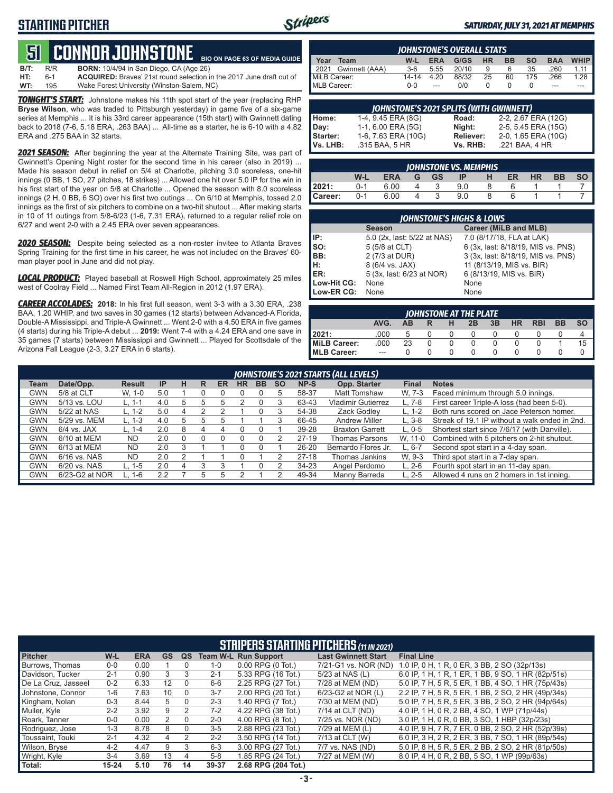## **STARTING PITCHER**



#### *SATURDAY, JULY 31, 2021 AT MEMPHIS*

#### **51****CONNOR JOHNSTONE BIO ON PAGE 63 OF MEDIA GUIDE**

**B/T:** R/R **BORN:** 10/4/94 in San Diego, CA (Age 26)<br>**HT:** 6-1 **ACQUIRED:** Braves' 21st round selection i **HT:** 6-1 **ACQUIRED:** Braves' 21st round selection in the 2017 June draft out of **WT:** 195 Wake Forest University (Winston-Salem, NC)

*TONIGHT'S START:* Johnstone makes his 11th spot start of the year (replacing RHP **Bryse Wilson**, who was traded to Pittsburgh yesterday) in game five of a six-game series at Memphis ... It is his 33rd career appearance (15th start) with Gwinnett dating back to 2018 (7-6, 5.18 ERA, .263 BAA) ... All-time as a starter, he is 6-10 with a 4.82 ERA and .275 BAA in 32 starts.

*2021 SEASON:* After beginning the year at the Alternate Training Site, was part of Gwinnett's Opening Night roster for the second time in his career (also in 2019) ... Made his season debut in relief on 5/4 at Charlotte, pitching 3.0 scoreless, one-hit innings (0 BB, 1 SO, 27 pitches, 18 strikes) ... Allowed one hit over 5.0 IP for the win in his first start of the year on 5/8 at Charlotte ... Opened the season with 8.0 scoreless innings (2 H, 0 BB, 6 SO) over his first two outings ... On 6/10 at Memphis, tossed 2.0 innings as the first of six pitchers to combine on a two-hit shutout ... After making starts in 10 of 11 outings from 5/8-6/23 (1-6, 7.31 ERA), returned to a regular relief role on 6/27 and went 2-0 with a 2.45 ERA over seven appearances.

*2020 SEASON:* Despite being selected as a non-roster invitee to Atlanta Braves Spring Training for the first time in his career, he was not included on the Braves' 60 man player pool in June and did not play.

*LOCAL PRODUCT:* Played baseball at Roswell High School, approximately 25 miles west of Coolray Field ... Named First Team All-Region in 2012 (1.97 ERA).

*CAREER ACCOLADES:* **2018:** In his first full season, went 3-3 with a 3.30 ERA, .238 BAA, 1.20 WHIP, and two saves in 30 games (12 starts) between Advanced-A Florida, Double-A Mississippi, and Triple-A Gwinnett ... Went 2-0 with a 4.50 ERA in five games (4 starts) during his Triple-A debut ... **2019:** Went 7-4 with a 4.24 ERA and one save in 35 games (7 starts) between Mississippi and Gwinnett ... Played for Scottsdale of the Arizona Fall League (2-3, 3.27 ERA in 6 starts).

|              | <b>IOHNSTONE'S OVERALL STATS</b> |         |            |       |           |           |           |            |             |  |  |  |  |  |
|--------------|----------------------------------|---------|------------|-------|-----------|-----------|-----------|------------|-------------|--|--|--|--|--|
| Year         | Team                             | W-L     | <b>ERA</b> | G/GS  | <b>HR</b> | <b>BB</b> | <b>SO</b> | <b>BAA</b> | <b>WHIP</b> |  |  |  |  |  |
| 2021         | Gwinnett (AAA)                   | $3-6$   | 5.55       | 20/10 | 9         | 6         | 35        | .260       | 1.11        |  |  |  |  |  |
| MiLB Career: |                                  | 14-14   | 4.20       | 88/32 | 25        | 60        | 175       | .266       | $1.28$      |  |  |  |  |  |
| MLB Career:  |                                  | $0 - 0$ | $-$        | n/n   |           |           |           | ---        |             |  |  |  |  |  |

| <b>JOHNSTONE'S 2021 SPLITS (WITH GWINNETT)</b> |                     |           |                     |  |  |  |  |  |  |  |
|------------------------------------------------|---------------------|-----------|---------------------|--|--|--|--|--|--|--|
| Home:                                          | 1-4, 9.45 ERA (8G)  | Road:     | 2-2, 2.67 ERA (12G) |  |  |  |  |  |  |  |
| Day:                                           | 1-1, 6.00 ERA (5G)  | Night:    | 2-5, 5.45 ERA (15G) |  |  |  |  |  |  |  |
| Starter:                                       | 1-6, 7.63 ERA (10G) | Reliever: | 2-0, 1.65 ERA (10G) |  |  |  |  |  |  |  |
| Vs. LHB:                                       | .315 BAA, 5 HR      | Vs. RHB:  | .221 BAA, 4 HR      |  |  |  |  |  |  |  |

| <b>IOHNSTONE VS. MEMPHIS</b> |         |            |   |            |     |   |    |           |           |           |  |  |  |
|------------------------------|---------|------------|---|------------|-----|---|----|-----------|-----------|-----------|--|--|--|
|                              | W-L     | <b>ERA</b> | G | $-$ GS $-$ | IP  | н | ER | <b>HR</b> | <b>BB</b> | <b>SO</b> |  |  |  |
| 2021:                        | $0 - 1$ | 6.00       |   |            | 9.0 |   |    |           |           |           |  |  |  |
| Career:                      | $0 - 1$ | 6.00       |   |            | 9.0 |   |    |           |           |           |  |  |  |

| <b>JOHNSTONE'S HIGHS &amp; LOWS</b> |                             |                                    |  |  |  |  |  |  |  |  |
|-------------------------------------|-----------------------------|------------------------------------|--|--|--|--|--|--|--|--|
|                                     | <b>Season</b>               | Career (MiLB and MLB)              |  |  |  |  |  |  |  |  |
| IP:                                 | 5.0 (2x, last: 5/22 at NAS) | 7.0 (8/17/18, FLA at LAK)          |  |  |  |  |  |  |  |  |
| so:                                 | 5 (5/8 at CLT)              | 6 (3x, last: 8/18/19, MIS vs. PNS) |  |  |  |  |  |  |  |  |
| BB:                                 | 2 (7/3 at DUR)              | 3 (3x, last: 8/18/19, MIS vs. PNS) |  |  |  |  |  |  |  |  |
| Iн:                                 | 8 (6/4 vs. JAX)             | 11 (8/13/19, MIS vs. BIR)          |  |  |  |  |  |  |  |  |
| <b>IER:</b>                         | 5 (3x, last: 6/23 at NOR)   | 6 (8/13/19, MIS vs. BIR)           |  |  |  |  |  |  |  |  |
| Low-Hit CG:                         | None                        | None                               |  |  |  |  |  |  |  |  |
| Low-ER CG:                          | None                        | None                               |  |  |  |  |  |  |  |  |

| JOHNSTONE AT THE PLATE                                        |      |    |  |  |  |  |  |  |  |    |  |  |  |  |
|---------------------------------------------------------------|------|----|--|--|--|--|--|--|--|----|--|--|--|--|
| AVG.<br><b>BB</b><br>ΗR<br><b>RBI</b><br>3B<br>SΟ<br>AB<br>2B |      |    |  |  |  |  |  |  |  |    |  |  |  |  |
| 12021:                                                        | .000 |    |  |  |  |  |  |  |  |    |  |  |  |  |
| MiLB Career:                                                  | .000 | 23 |  |  |  |  |  |  |  | 15 |  |  |  |  |
| <b>IMLB Career:</b>                                           |      |    |  |  |  |  |  |  |  |    |  |  |  |  |

|      |                |               |     |    | JOHNSTONE'S 2021 STARTS (ALL LEVELS) |           |    |           |           |           |                           |              |                                                |  |  |  |  |  |
|------|----------------|---------------|-----|----|--------------------------------------|-----------|----|-----------|-----------|-----------|---------------------------|--------------|------------------------------------------------|--|--|--|--|--|
| Team | Date/Opp.      | <b>Result</b> | IP  | н  | R                                    | <b>ER</b> | HR | <b>BB</b> | <b>SO</b> | NP-S      | Opp. Starter              | <b>Final</b> | <b>Notes</b>                                   |  |  |  |  |  |
| GWN  | 5/8 at CLT     | W. 1-0        | 5.0 |    |                                      |           |    |           |           | 58-37     | <b>Matt Tomshaw</b>       | W. 7-3       | Faced minimum through 5.0 innings.             |  |  |  |  |  |
| GWN  | 5/13 vs. LOU   | L. 1-1        | 4.0 |    |                                      |           |    |           |           | 63-43     | <b>Vladimir Gutierrez</b> | $L.7-8$      | First career Triple-A loss (had been 5-0).     |  |  |  |  |  |
| GWN  | 5/22 at NAS    | L. 1-2        | 5.0 |    |                                      |           |    |           |           | 54-38     | Zack Godlev               | L. 1-2       | Both runs scored on Jace Peterson homer.       |  |  |  |  |  |
| GWN  | 5/29 vs. MEM   | L. 1-3        | 4.0 | .h |                                      |           |    |           |           | 66-45     | <b>Andrew Miller</b>      | $L.3-8$      | Streak of 19.1 IP without a walk ended in 2nd. |  |  |  |  |  |
| GWN  | $6/4$ vs. JAX  | L. 1-4        | 2.0 | 8  | 4                                    |           |    |           |           | 39-28     | <b>Braxton Garrett</b>    | $L. 0-5$     | Shortest start since 7/6/17 (with Danville).   |  |  |  |  |  |
| GWN  | 6/10 at MEM    | <b>ND</b>     | 2.0 |    |                                      |           |    |           |           | $27-19$   | <b>Thomas Parsons</b>     | W. 11-0      | Combined with 5 pitchers on 2-hit shutout.     |  |  |  |  |  |
| GWN  | 6/13 at MEM    | <b>ND</b>     | 2.0 |    |                                      |           |    |           |           | $26 - 20$ | Bernardo Flores Jr.       | L. 6-7       | Second spot start in a 4-day span.             |  |  |  |  |  |
| GWN  | 6/16 vs. NAS   | <b>ND</b>     | 2.0 |    |                                      |           |    |           |           | $27-18$   | Thomas Jankins            | W. 9-3       | Third spot start in a 7-day span.              |  |  |  |  |  |
| GWN  | 6/20 vs. NAS   | L. 1-5        | 2.0 | 4  |                                      |           |    |           |           | $34 - 23$ | Angel Perdomo             | $L. 2-6$     | Fourth spot start in an 11-day span.           |  |  |  |  |  |
| GWN  | 6/23-G2 at NOR | L. 1-6        | 2.2 |    |                                      |           |    |           |           | 49-34     | Manny Barreda             | $L. 2-5$     | Allowed 4 runs on 2 homers in 1st inning.      |  |  |  |  |  |
|      |                |               |     |    |                                      |           |    |           |           |           |                           |              |                                                |  |  |  |  |  |

|                     | <b>STRIPERS STARTING PITCHERS (11 IN 2021)</b> |            |           |    |         |                             |                            |                                                    |  |  |  |  |  |
|---------------------|------------------------------------------------|------------|-----------|----|---------|-----------------------------|----------------------------|----------------------------------------------------|--|--|--|--|--|
| <b>Pitcher</b>      | W-L                                            | <b>ERA</b> | <b>GS</b> | QS |         | <b>Team W-L Run Support</b> | <b>Last Gwinnett Start</b> | <b>Final Line</b>                                  |  |  |  |  |  |
| Burrows, Thomas     | $0 - 0$                                        | 0.00       |           |    | $1 - 0$ | $0.00$ RPG $(0$ Tot.)       | 7/21-G1 vs. NOR (ND)       | 1.0 IP, 0 H, 1 R, 0 ER, 3 BB, 2 SO (32p/13s)       |  |  |  |  |  |
| Davidson, Tucker    | $2 - 1$                                        | 0.90       | 3         | 3  | $2 - 1$ | 5.33 RPG (16 Tot.)          | 5/23 at NAS (L)            | 6.0 IP, 1 H, 1 R, 1 ER, 1 BB, 9 SO, 1 HR (82p/51s) |  |  |  |  |  |
| De La Cruz, Jasseel | $0 - 2$                                        | 6.33       | 12        |    | $6-6$   | 2.25 RPG (27 Tot.)          | 7/28 at MEM (ND)           | 5.0 IP, 7 H, 5 R, 5 ER, 1 BB, 4 SO, 1 HR (75p/43s) |  |  |  |  |  |
| Johnstone, Connor   | $1-6$                                          | 7.63       | 10        |    | $3 - 7$ | 2.00 RPG (20 Tot.)          | 6/23-G2 at NOR (L)         | 2.2 IP, 7 H, 5 R, 5 ER, 1 BB, 2 SO, 2 HR (49p/34s) |  |  |  |  |  |
| Kingham, Nolan      | $0 - 3$                                        | 8.44       | 5.        |    | $2 - 3$ | 1.40 RPG (7 Tot.)           | 7/30 at MEM (ND)           | 5.0 IP, 7 H, 5 R, 5 ER, 3 BB, 2 SO, 2 HR (94p/64s) |  |  |  |  |  |
| Muller, Kyle        | $2 - 2$                                        | 3.92       | 9         | 2  | $7-2$   | 4.22 RPG (38 Tot.)          | 7/14 at CLT (ND)           | 4.0 IP, 1 H, 0 R, 2 BB, 4 SO, 1 WP (71p/44s)       |  |  |  |  |  |
| Roark, Tanner       | $0 - 0$                                        | 0.00       | 2         | 0  | $2 - 0$ | 4.00 RPG (8 Tot.)           | 7/25 vs. NOR (ND)          | 3.0 IP, 1 H, 0 R, 0 BB, 3 SO, 1 HBP (32p/23s)      |  |  |  |  |  |
| Rodriguez, Jose     | $1 - 3$                                        | 8.78       | 8         |    | $3-5$   | 2.88 RPG (23 Tot.)          | 7/29 at MEM (L)            | 4.0 IP, 9 H, 7 R, 7 ER, 0 BB, 2 SO, 2 HR (52p/39s) |  |  |  |  |  |
| Toussaint. Touki    | $2 - 1$                                        | 4.32       | 4         | 2  | $2 - 2$ | 3.50 RPG (14 Tot.)          | 7/13 at CLT (W)            | 6.0 IP, 3 H, 2 R, 2 ER, 3 BB, 7 SO, 1 HR (89p/54s) |  |  |  |  |  |
| Wilson, Bryse       | $4 - 2$                                        | 4.47       | 9         | 3  | $6 - 3$ | 3.00 RPG (27 Tot.)          | 7/7 vs. NAS (ND)           | 5.0 IP, 8 H, 5 R, 5 ER, 2 BB, 2 SO, 2 HR (81p/50s) |  |  |  |  |  |
| Wright, Kyle        | $3 - 4$                                        | 3.69       | 13        |    | $5 - 8$ | 1.85 RPG (24 Tot.)          | 7/27 at MEM (W)            | 8.0 IP, 4 H, 0 R, 2 BB, 5 SO, 1 WP (99p/63s)       |  |  |  |  |  |
| Total:              | $15 - 24$                                      | 5.10       | 76        | 14 | 39-37   | 2.68 RPG (204 Tot.)         |                            |                                                    |  |  |  |  |  |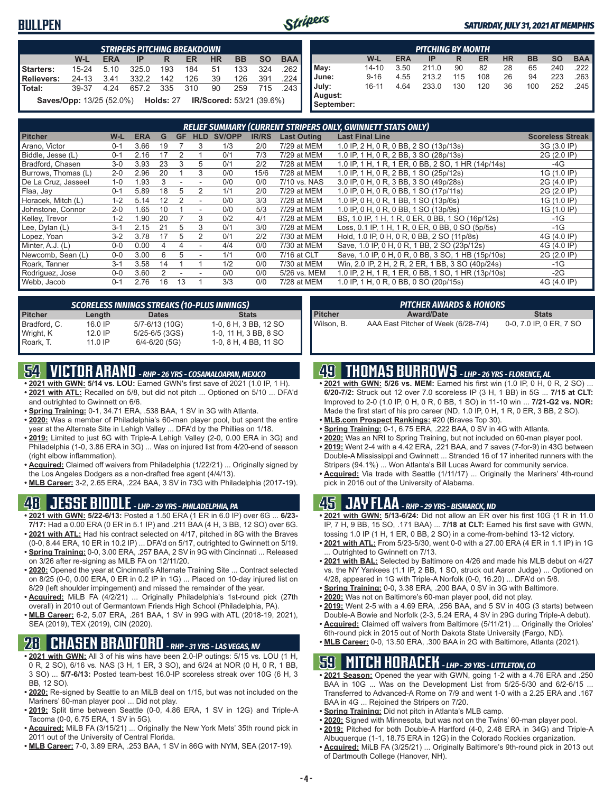### **BULLPEN**



#### *SATURDAY, JULY 31, 2021 AT MEMPHIS*

|                   | <b>STRIPERS PITCHING BREAKDOWN</b>                                                               |        |           |     |     |    |     |     |      |  |  |  |  |  |
|-------------------|--------------------------------------------------------------------------------------------------|--------|-----------|-----|-----|----|-----|-----|------|--|--|--|--|--|
|                   | <b>BAA</b><br>$W-L$<br><b>BB</b><br><b>HR</b><br><b>SO</b><br><b>ERA</b><br><b>ER</b><br>IP<br>R |        |           |     |     |    |     |     |      |  |  |  |  |  |
| Starters:         | $15 - 24$                                                                                        | 5.10   | 325.0     | 193 | 184 | 51 | 133 | 324 | .262 |  |  |  |  |  |
| <b>Relievers:</b> | $24 - 13$                                                                                        | - 3.41 | 332.2     | 142 | 126 | 39 | 126 | 391 | .224 |  |  |  |  |  |
| Total:            | 39-37                                                                                            | 4.24   | 657.2 335 |     | 310 | 90 | 259 | 715 | .243 |  |  |  |  |  |
|                   | IR/Scored: 53/21 (39.6%)<br><b>Saves/Opp:</b> 13/25 (52.0%) <b>Holds:</b> 27                     |        |           |     |     |    |     |     |      |  |  |  |  |  |

|                       | <b>PITCHING BY MONTH</b> |            |       |     |     |           |           |           |            |  |  |  |  |
|-----------------------|--------------------------|------------|-------|-----|-----|-----------|-----------|-----------|------------|--|--|--|--|
|                       | W-L                      | <b>ERA</b> | IP    | R   | ER  | <b>HR</b> | <b>BB</b> | <b>SO</b> | <b>BAA</b> |  |  |  |  |
| May:                  | 14-10                    | 3.50       | 211.0 | 90  | 82  | 28        | 65        | 240       | 222        |  |  |  |  |
| June:                 | $9 - 16$                 | 4.55       | 213.2 | 115 | 108 | 26        | 94        | 223       | 263        |  |  |  |  |
| July:                 | $16 - 11$                | 4.64       | 233.0 | 130 | 120 | 36        | 100       | 252       | .245       |  |  |  |  |
| August:<br>September: |                          |            |       |     |     |           |           |           |            |  |  |  |  |

| <b>RELIEF SUMMARY (CURRENT STRIPERS ONLY, GWINNETT STATS ONLY)</b> |         |            |    |           |            |               |              |                    |                                                    |                         |  |
|--------------------------------------------------------------------|---------|------------|----|-----------|------------|---------------|--------------|--------------------|----------------------------------------------------|-------------------------|--|
| <b>Pitcher</b>                                                     | W-L     | <b>ERA</b> | G  | <b>GF</b> | <b>HLD</b> | <b>SV/OPP</b> | <b>IR/RS</b> | <b>Last Outing</b> | <b>Last Final Line</b>                             | <b>Scoreless Streak</b> |  |
| Arano, Victor                                                      | $0 - 1$ | 3.66       | 19 |           | 3          | 1/3           | 2/0          | 7/29 at MEM        | 1.0 IP, 2 H, 0 R, 0 BB, 2 SO (13p/13s)             | 3G (3.0 IP)             |  |
| Biddle, Jesse (L)                                                  | $0 - 1$ | 2.16       |    |           |            | 0/1           | 7/3          | 7/29 at MEM        | 1.0 IP, 1 H, 0 R, 2 BB, 3 SO (28p/13s)             | 2G (2.0 IP)             |  |
| Bradford, Chasen                                                   | $3 - 0$ | 3.93       | 23 | 3         | 5          | 0/1           | 2/2          | 7/28 at MEM        | 1.0 IP, 1 H, 1 R, 1 ER, 0 BB, 2 SO, 1 HR (14p/14s) | -4G                     |  |
| Burrows, Thomas (L)                                                | $2 - 0$ | 2.96       | 20 |           | 3          | 0/0           | 15/6         | 7/28 at MEM        | 1.0 IP, 1 H, 0 R, 2 BB, 1 SO (25p/12s)             | 1G (1.0 IP)             |  |
| De La Cruz, Jasseel                                                | $1 - 0$ | 1.93       |    |           |            | 0/0           | 0/0          | 7/10 vs. NAS       | 3.0 IP, 0 H, 0 R, 3 BB, 3 SO (49p/28s)             | 2G (4.0 IP)             |  |
| Flaa, Jay                                                          | $0 - 1$ | 5.89       | 18 | 5         |            | 1/1           | 2/0          | 7/29 at MEM        | 1.0 IP, 0 H, 0 R, 0 BB, 1 SO (17p/11s)             | 2G (2.0 IP)             |  |
| Horacek, Mitch (L)                                                 | $1 - 2$ | 5.14       | 12 |           |            | 0/0           | 3/3          | 7/28 at MEM        | 1.0 IP, 0 H, 0 R, 1 BB, 1 SO (13p/6s)              | 1G (1.0 IP)             |  |
| Johnstone, Connor                                                  | $2 - 0$ | 1.65       | 10 |           |            | 0/0           | 5/3          | 7/29 at MEM        | 1.0 IP, 0 H, 0 R, 0 BB, 1 SO (13p/9s)              | 1G (1.0 IP)             |  |
| Kelley, Trevor                                                     | $1 - 2$ | 1.90       | 20 |           | 3          | 0/2           | 4/1          | 7/28 at MEM        | BS, 1.0 IP, 1 H, 1 R, 0 ER, 0 BB, 1 SO (16p/12s)   | $-1G$                   |  |
| Lee, Dylan (L)                                                     | $3 - 1$ | 2.15       | 21 | 5         | 3          | 0/1           | 3/0          | 7/28 at MEM        | Loss, 0.1 IP, 1 H, 1 R, 0 ER, 0 BB, 0 SO (5p/5s)   | $-1G$                   |  |
| Lopez, Yoan                                                        | $3 - 2$ | 3.78       |    | 5         | 2          | 0/1           | 2/2          | 7/30 at MEM        | Hold, 1.0 IP, 0 H, 0 R, 0 BB, 2 SO (11p/8s)        | 4G (4.0 IP)             |  |
| Minter, A.J. (L)                                                   | $0 - 0$ | 0.00       |    | 4         |            | 4/4           | 0/0          | 7/30 at MEM        | Save, 1.0 IP, 0 H, 0 R, 1 BB, 2 SO (23p/12s)       | 4G (4.0 IP)             |  |
| Newcomb, Sean (L)                                                  | $0 - 0$ | 3.00       | 6  | 5         |            | 1/1           | 0/0          | 7/16 at CLT        | Save, 1.0 IP, 0 H, 0 R, 0 BB, 3 SO, 1 HB (15p/10s) | 2G (2.0 IP)             |  |
| Roark, Tanner                                                      | $3 - 1$ | 3.58       | 14 |           |            | 1/2           | 0/0          | 7/30 at MEM        | Win, 2.0 IP, 2 H, 2 R, 2 ER, 1 BB, 3 SO (40p/24s)  | $-1G$                   |  |
| Rodriguez, Jose                                                    | $0 - 0$ | 3.60       |    |           |            | 0/0           | 0/0          | 5/26 vs. MEM       | 1.0 IP, 2 H, 1 R, 1 ER, 0 BB, 1 SO, 1 HR (13p/10s) | $-2G$                   |  |
| Webb, Jacob                                                        | $0 - 1$ | 2.76       | 16 | 13        |            | 3/3           | 0/0          | 7/28 at MEM        | 1.0 IP, 1 H, 0 R, 0 BB, 0 SO (20p/15s)             | 4G (4.0 IP)             |  |

| <b>SCORELESS INNINGS STREAKS (10-PLUS INNINGS)</b> |           |                    |                       |  |  |  |  |  |  |  |
|----------------------------------------------------|-----------|--------------------|-----------------------|--|--|--|--|--|--|--|
| <b>Pitcher</b>                                     | Length    | <b>Dates</b>       | <b>Stats</b>          |  |  |  |  |  |  |  |
| Bradford, C.                                       | 16.0 IP   | 5/7-6/13 (10G)     | 1-0, 6 H, 3 BB, 12 SO |  |  |  |  |  |  |  |
| Wright, K                                          | $12.0$ IP | $5/25 - 6/5$ (3GS) | 1-0, 11 H, 3 BB, 8 SO |  |  |  |  |  |  |  |
| Roark, T.                                          | 11.0 IP   | $6/4 - 6/20$ (5G)  | 1-0, 8 H, 4 BB, 11 SO |  |  |  |  |  |  |  |

## **54 VICTOR ARANO** *- RHP - 26 YRS - COSAMALOAPAN, MEXICO*

- **• 2021 with GWN: 5/14 vs. LOU:** Earned GWN's first save of 2021 (1.0 IP, 1 H). **• 2021 with ATL:** Recalled on 5/8, but did not pitch ... Optioned on 5/10 ... DFA'd
- and outrighted to Gwinnett on 6/6.
- **• Spring Training:** 0-1, 34.71 ERA, .538 BAA, 1 SV in 3G with Atlanta. **• 2020:** Was a member of Philadelphia's 60-man player pool, but spent the entire year at the Alternate Site in Lehigh Valley ... DFA'd by the Phillies on 1/18.
- **• 2019:** Limited to just 6G with Triple-A Lehigh Valley (2-0, 0.00 ERA in 3G) and Philadelphia (1-0, 3.86 ERA in 3G) ... Was on injured list from 4/20-end of season (right elbow inflammation).
- **• Acquired:** Claimed off waivers from Philadelphia (1/22/21) ... Originally signed by the Los Angeles Dodgers as a non-drafted free agent (4/4/13).
- **• MLB Career:** 3-2, 2.65 ERA, .224 BAA, 3 SV in 73G with Philadelphia (2017-19).

## **48 JESSE BIDDLE** *- LHP - 29 YRS - PHILADELPHIA, PA*

- **• 2021 with GWN: 5/22-6/13:** Posted a 1.50 ERA (1 ER in 6.0 IP) over 6G ... **6/23- 7/17:** Had a 0.00 ERA (0 ER in 5.1 IP) and .211 BAA (4 H, 3 BB, 12 SO) over 6G.
- **• 2021 with ATL:** Had his contract selected on 4/17, pitched in 8G with the Braves (0-0, 8.44 ERA, 10 ER in 10.2 IP) ... DFA'd on 5/17, outrighted to Gwinnett on 5/19.
- **• Spring Training:** 0-0, 3.00 ERA, .257 BAA, 2 SV in 9G with Cincinnati ... Released on 3/26 after re-signing as MiLB FA on 12/11/20.
- **• 2020:** Opened the year at Cincinnati's Alternate Training Site ... Contract selected on 8/25 (0-0, 0.00 ERA, 0 ER in 0.2 IP in 1G) ... Placed on 10-day injured list on 8/29 (left shoulder impingement) and missed the remainder of the year.
- **• Acquired:** MiLB FA (4/2/21) ... Originally Philadelphia's 1st-round pick (27th overall) in 2010 out of Germantown Friends High School (Philadelphia, PA).
- **• MLB Career:** 6-2, 5.07 ERA, .261 BAA, 1 SV in 99G with ATL (2018-19, 2021), SEA (2019), TEX (2019), CIN (2020).

## **28 CHASEN BRADFORD** *- RHP - 31 YRS - LAS VEGAS, NV*

- **• 2021 with GWN:** All 3 of his wins have been 2.0-IP outings: 5/15 vs. LOU (1 H, 0 R, 2 SO), 6/16 vs. NAS (3 H, 1 ER, 3 SO), and 6/24 at NOR (0 H, 0 R, 1 BB, 3 SO) ... **5/7-6/13:** Posted team-best 16.0-IP scoreless streak over 10G (6 H, 3 BB, 12 SO).
- **• 2020:** Re-signed by Seattle to an MiLB deal on 1/15, but was not included on the Mariners' 60-man player pool ... Did not play.
- **• 2019:** Split time between Seattle (0-0, 4.86 ERA, 1 SV in 12G) and Triple-A Tacoma (0-0, 6.75 ERA, 1 SV in 5G).
- **• Acquired:** MiLB FA (3/15/21) ... Originally the New York Mets' 35th round pick in 2011 out of the University of Central Florida.
- **• MLB Career:** 7-0, 3.89 ERA, .253 BAA, 1 SV in 86G with NYM, SEA (2017-19).

|                | <b>PITCHER AWARDS &amp; HONORS</b>  |                         |
|----------------|-------------------------------------|-------------------------|
| <b>Pitcher</b> | <b>Award/Date</b>                   | <b>Stats</b>            |
| Wilson, B.     | AAA East Pitcher of Week (6/28-7/4) | 0-0, 7.0 IP, 0 ER, 7 SO |

## **49 THOMAS BURROWS** *- LHP - 26 YRS - FLORENCE, AL*

- 2021 with GWN: 5/26 vs. MEM: Earned his first win (1.0 IP, 0 H, 0 R, 2 SO) **6/20-7/2:** Struck out 12 over 7.0 scoreless IP (3 H, 1 BB) in 5G ... **7/15 at CLT:** Improved to 2-0 (1.0 IP, 0 H, 0 R, 0 BB, 1 SO) in 11-10 win ... **7/21-G2 vs. NOR:** Made the first start of his pro career (ND, 1.0 IP, 0 H, 1 R, 0 ER, 3 BB, 2 SO).
- **• MLB.com Prospect Rankings:** #20 (Braves Top 30).
- **• Spring Training:** 0-1, 6.75 ERA, .222 BAA, 0 SV in 4G with Atlanta.
- **• 2020:** Was an NRI to Spring Training, but not included on 60-man player pool.
- **• 2019:** Went 2-4 with a 4.42 ERA, .221 BAA, and 7 saves (7-for-9) in 43G between Double-A Mississippi and Gwinnett ... Stranded 16 of 17 inherited runners with the Stripers (94.1%) ... Won Atlanta's Bill Lucas Award for community service.
- **• Acquired:** Via trade with Seattle (1/11/17) ... Originally the Mariners' 4th-round pick in 2016 out of the University of Alabama.

## **45 JAY FLAA** *- RHP - 29 YRS - BISMARCK, ND*

- **• 2021 with GWN: 5/13-6/24:** Did not allow an ER over his first 10G (1 R in 11.0 IP, 7 H, 9 BB, 15 SO, .171 BAA) ... **7/18 at CLT:** Earned his first save with GWN, tossing 1.0 IP (1 H, 1 ER, 0 BB, 2 SO) in a come-from-behind 13-12 victory.
- **• 2021 with ATL:** From 5/23-5/30, went 0-0 with a 27.00 ERA (4 ER in 1.1 IP) in 1G ... Outrighted to Gwinnett on 7/13.
- **• 2021 with BAL:** Selected by Baltimore on 4/26 and made his MLB debut on 4/27 vs. the NY Yankees (1.1 IP, 2 BB, 1 SO, struck out Aaron Judge) ... Optioned on 4/28, appeared in 1G with Triple-A Norfolk (0-0, 16.20) ... DFA'd on 5/8.
- **• Spring Training:** 0-0, 3.38 ERA, .200 BAA, 0 SV in 3G with Baltimore.
- **• 2020:** Was not on Baltimore's 60-man player pool, did not play.
- **• 2019:** Went 2-5 with a 4.69 ERA, .256 BAA, and 5 SV in 40G (3 starts) between Double-A Bowie and Norfolk (2-3, 5.24 ERA, 4 SV in 29G during Triple-A debut).
- **• Acquired:** Claimed off waivers from Baltimore (5/11/21) ... Originally the Orioles' 6th-round pick in 2015 out of North Dakota State University (Fargo, ND).
- **• MLB Career:** 0-0, 13.50 ERA, .300 BAA in 2G with Baltimore, Atlanta (2021).

## **59 MITCH HORACEK** *- LHP - 29 YRS - LITTLETON, CO*

- **• 2021 Season:** Opened the year with GWN, going 1-2 with a 4.76 ERA and .250 BAA in 10G ... Was on the Development List from 5/25-5/30 and 6/2-6/15 ... Transferred to Advanced-A Rome on 7/9 and went 1-0 with a 2.25 ERA and .167 BAA in 4G ... Rejoined the Stripers on 7/20.
- **• Spring Training:** Did not pitch in Atlanta's MLB camp.
- **• 2020:** Signed with Minnesota, but was not on the Twins' 60-man player pool.
- **• 2019:** Pitched for both Double-A Hartford (4-0, 2.48 ERA in 34G) and Triple-A Albuquerque (1-1, 18.75 ERA in 12G) in the Colorado Rockies organization.
- **• Acquired:** MiLB FA (3/25/21) ... Originally Baltimore's 9th-round pick in 2013 out of Dartmouth College (Hanover, NH).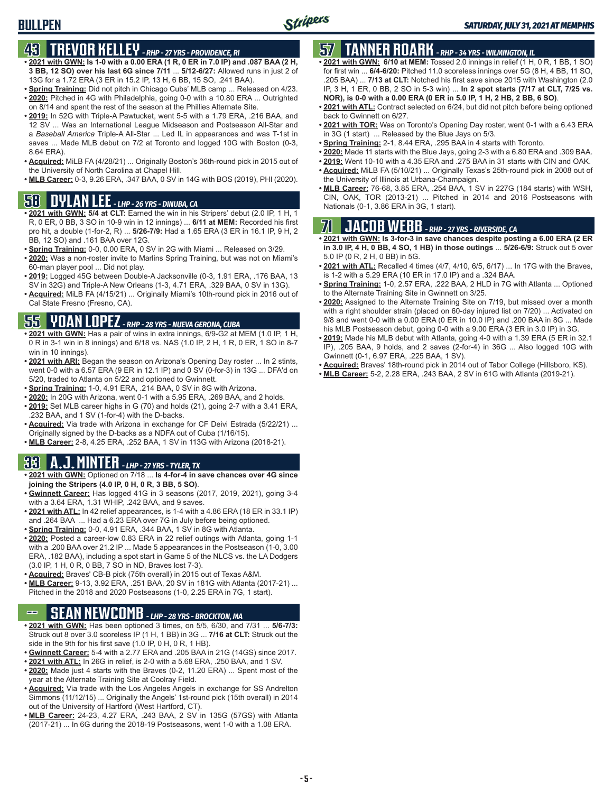## **43 TREVOR KELLEY** *- RHP - 27 YRS - PROVIDENCE, RI*

- **• 2021 with GWN: Is 1-0 with a 0.00 ERA (1 R, 0 ER in 7.0 IP) and .087 BAA (2 H, 3 BB, 12 SO) over his last 6G since 7/11** ... **5/12-6/27:** Allowed runs in just 2 of 13G for a 1.72 ERA (3 ER in 15.2 IP, 13 H, 6 BB, 15 SO, .241 BAA).
- **• Spring Training:** Did not pitch in Chicago Cubs' MLB camp ... Released on 4/23. **• 2020:** Pitched in 4G with Philadelphia, going 0-0 with a 10.80 ERA ... Outrighted on 8/14 and spent the rest of the season at the Phillies Alternate Site.
- **• 2019:** In 52G with Triple-A Pawtucket, went 5-5 with a 1.79 ERA, .216 BAA, and 12 SV ... Was an International League Midseason and Postseason All-Star and a *Baseball America* Triple-A All-Star ... Led IL in appearances and was T-1st in saves ... Made MLB debut on 7/2 at Toronto and logged 10G with Boston (0-3, 8.64 ERA).
- **• Acquired:** MiLB FA (4/28/21) ... Originally Boston's 36th-round pick in 2015 out of the University of North Carolina at Chapel Hill.
- **• MLB Career:** 0-3, 9.26 ERA, .347 BAA, 0 SV in 14G with BOS (2019), PHI (2020).

- **• 2021 with GWN: 5/4 at CLT:** Earned the win in his Stripers' debut (2.0 IP, 1 H, 1 R, 0 ER, 0 BB, 3 SO in 10-9 win in 12 innings) ... **6/11 at MEM:** Recorded his first pro hit, a double (1-for-2, R) ... **5/26-7/9:** Had a 1.65 ERA (3 ER in 16.1 IP, 9 H, 2 BB, 12 SO) and .161 BAA over 12G.
- **• Spring Training:** 0-0, 0.00 ERA, 0 SV in 2G with Miami ... Released on 3/29.
- **• 2020:** Was a non-roster invite to Marlins Spring Training, but was not on Miami's 60-man player pool ... Did not play.
- **• 2019:** Logged 45G between Double-A Jacksonville (0-3, 1.91 ERA, .176 BAA, 13 SV in 32G) and Triple-A New Orleans (1-3, 4.71 ERA, .329 BAA, 0 SV in 13G).
- **• Acquired:** MiLB FA (4/15/21) ... Originally Miami's 10th-round pick in 2016 out of Cal State Fresno (Fresno, CA).

## **55 YOAN LOPEZ** *- RHP - 28 YRS - NUEVA GERONA, CUBA*

- **• 2021 with GWN:** Has a pair of wins in extra innings, 6/9-G2 at MEM (1.0 IP, 1 H, 0 R in 3-1 win in 8 innings) and 6/18 vs. NAS (1.0 IP, 2 H, 1 R, 0 ER, 1 SO in 8-7 win in 10 innings).
- **• 2021 with ARI:** Began the season on Arizona's Opening Day roster ... In 2 stints, went 0-0 with a 6.57 ERA (9 ER in 12.1 IP) and 0 SV (0-for-3) in 13G ... DFA'd on 5/20, traded to Atlanta on 5/22 and optioned to Gwinnett.
- **• Spring Training:** 1-0, 4.91 ERA, .214 BAA, 0 SV in 8G with Arizona.
- **• 2020:** In 20G with Arizona, went 0-1 with a 5.95 ERA, .269 BAA, and 2 holds.
- **• 2019:** Set MLB career highs in G (70) and holds (21), going 2-7 with a 3.41 ERA, .232 BAA, and 1 SV (1-for-4) with the D-backs.
- **• Acquired:** Via trade with Arizona in exchange for CF Deivi Estrada (5/22/21) ... Originally signed by the D-backs as a NDFA out of Cuba (1/16/15).
- **• MLB Career:** 2-8, 4.25 ERA, .252 BAA, 1 SV in 113G with Arizona (2018-21).

## **33 A.J. MINTER** *- LHP - 27 YRS - TYLER, TX*

- **• 2021 with GWN:** Optioned on 7/18 ... **Is 4-for-4 in save chances over 4G since joining the Stripers (4.0 IP, 0 H, 0 R, 3 BB, 5 SO)**.
- **• Gwinnett Career:** Has logged 41G in 3 seasons (2017, 2019, 2021), going 3-4 with a 3.64 ERA, 1.31 WHIP, .242 BAA, and 9 saves.
- **• 2021 with ATL:** In 42 relief appearances, is 1-4 with a 4.86 ERA (18 ER in 33.1 IP) and .264 BAA ... Had a 6.23 ERA over 7G in July before being optioned.
- **• Spring Training:** 0-0, 4.91 ERA, .344 BAA, 1 SV in 8G with Atlanta.
- **• 2020:** Posted a career-low 0.83 ERA in 22 relief outings with Atlanta, going 1-1 with a .200 BAA over 21.2 IP ... Made 5 appearances in the Postseason (1-0, 3.00 ERA, .182 BAA), including a spot start in Game 5 of the NLCS vs. the LA Dodgers (3.0 IP, 1 H, 0 R, 0 BB, 7 SO in ND, Braves lost 7-3).
- **• Acquired:** Braves' CB-B pick (75th overall) in 2015 out of Texas A&M.
- **• MLB Career:** 9-13, 3.92 ERA, .251 BAA, 20 SV in 181G with Atlanta (2017-21) ... Pitched in the 2018 and 2020 Postseasons (1-0, 2.25 ERA in 7G, 1 start).

## **-- SEAN NEWCOMB** *- LHP - 28 YRS - BROCKTON, MA*

- **• 2021 with GWN:** Has been optioned 3 times, on 5/5, 6/30, and 7/31 ... **5/6-7/3:** Struck out 8 over 3.0 scoreless IP (1 H, 1 BB) in 3G ... **7/16 at CLT:** Struck out the side in the 9th for his first save (1.0 IP, 0 H, 0 R, 1 HB).
- **• Gwinnett Career:** 5-4 with a 2.77 ERA and .205 BAA in 21G (14GS) since 2017.
- **• 2021 with ATL:** In 26G in relief, is 2-0 with a 5.68 ERA, .250 BAA, and 1 SV.
- **• 2020:** Made just 4 starts with the Braves (0-2, 11.20 ERA) ... Spent most of the year at the Alternate Training Site at Coolray Field.
- **• Acquired:** Via trade with the Los Angeles Angels in exchange for SS Andrelton Simmons (11/12/15) ... Originally the Angels' 1st-round pick (15th overall) in 2014 out of the University of Hartford (West Hartford, CT).
- **• MLB Career:** 24-23, 4.27 ERA, .243 BAA, 2 SV in 135G (57GS) with Atlanta (2017-21) ... In 6G during the 2018-19 Postseasons, went 1-0 with a 1.08 ERA.

## **57 TANNER ROARK** *- RHP - 34 YRS - WILMINGTON, IL*

- **• 2021 with GWN: 6/10 at MEM:** Tossed 2.0 innings in relief (1 H, 0 R, 1 BB, 1 SO) for first win ... **6/4-6/20:** Pitched 11.0 scoreless innings over 5G (8 H, 4 BB, 11 SO, .205 BAA) ... **7/13 at CLT:** Notched his first save since 2015 with Washington (2.0 IP, 3 H, 1 ER, 0 BB, 2 SO in 5-3 win) ... **In 2 spot starts (7/17 at CLT, 7/25 vs. NOR), is 0-0 with a 0.00 ERA (0 ER in 5.0 IP, 1 H, 2 HB, 2 BB, 6 SO)**.
- **• 2021 with ATL:** Contract selected on 6/24, but did not pitch before being optioned back to Gwinnett on 6/27.
- **• 2021 with TOR:** Was on Toronto's Opening Day roster, went 0-1 with a 6.43 ERA in 3G (1 start) ... Released by the Blue Jays on 5/3.
- **• Spring Training:** 2-1, 8.44 ERA, .295 BAA in 4 starts with Toronto.
- **• 2020:** Made 11 starts with the Blue Jays, going 2-3 with a 6.80 ERA and .309 BAA.
- **• 2019:** Went 10-10 with a 4.35 ERA and .275 BAA in 31 starts with CIN and OAK.
- **• Acquired:** MiLB FA (5/10/21) ... Originally Texas's 25th-round pick in 2008 out of the University of Illinois at Urbana-Champaign.
- **• MLB Career:** 76-68, 3.85 ERA, .254 BAA, 1 SV in 227G (184 starts) with WSH, CIN, OAK, TOR (2013-21) ... Pitched in 2014 and 2016 Postseasons with **58. Nationals (0-1, 3.86 ERA in 3G, 1 start).**<br>Mationals (0-1, 3.86 ERA in 3G, 1 start). **DYLAN LEE** *- LHP - 26 YRS - DINUBA, CA*

## **71 JACOB WEBB** *- RHP - 27 YRS - RIVERSIDE, CA*

- **• 2021 with GWN: Is 3-for-3 in save chances despite posting a 6.00 ERA (2 ER in 3.0 IP, 4 H, 0 BB, 4 SO, 1 HB) in those outings** ... **5/26-6/9:** Struck out 5 over 5.0 IP (0 R, 2 H, 0 BB) in 5G.
- **• 2021 with ATL:** Recalled 4 times (4/7, 4/10, 6/5, 6/17) ... In 17G with the Braves, is 1-2 with a 5.29 ERA (10 ER in 17.0 IP) and a .324 BAA.
- **• Spring Training:** 1-0, 2.57 ERA, .222 BAA, 2 HLD in 7G with Atlanta ... Optioned to the Alternate Training Site in Gwinnett on 3/25.
- **• 2020:** Assigned to the Alternate Training Site on 7/19, but missed over a month with a right shoulder strain (placed on 60-day injured list on 7/20) ... Activated on 9/8 and went 0-0 with a 0.00 ERA (0 ER in 10.0 IP) and .200 BAA in 8G ... Made his MLB Postseason debut, going 0-0 with a 9.00 ERA (3 ER in 3.0 IP) in 3G.
- **• 2019:** Made his MLB debut with Atlanta, going 4-0 with a 1.39 ERA (5 ER in 32.1 IP), .205 BAA, 9 holds, and 2 saves (2-for-4) in 36G ... Also logged 10G with Gwinnett (0-1, 6.97 ERA, .225 BAA, 1 SV).
- **• Acquired:** Braves' 18th-round pick in 2014 out of Tabor College (Hillsboro, KS).
- **• MLB Career:** 5-2, 2.28 ERA, .243 BAA, 2 SV in 61G with Atlanta (2019-21).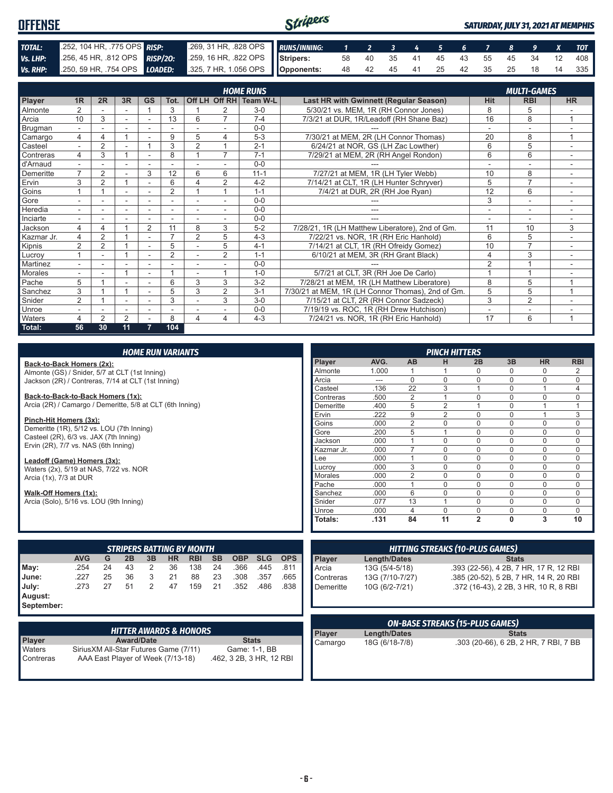#### Stripers **OFFENSE** *SATURDAY, JULY 31, 2021 AT MEMPHIS TOTAL:* .252, 104 HR, .775 OPS *RISP:* .269, 31 HR, .828 OPS *RUNS/INNING: 1 2 3 4 5 6 7 8 9 X TOT Vs. LHP:* .256, 45 HR, .812 OPS *RISP/2O:* .259, 16 HR, .822 OPS **Stripers:** 58 40 35 41 45 43 55 45 34 12 408 *Vs. RHP:* .250, 59 HR, .754 OPS *LOADED:* **Opponents:** 48 42 45 41 25 42 35 25 18 14 335

|                | <b>HOME RUNS</b><br><b>MULTI-GAMES</b> |                |                |                          |                |                |                |                        |                                                   |                          |                |                          |
|----------------|----------------------------------------|----------------|----------------|--------------------------|----------------|----------------|----------------|------------------------|---------------------------------------------------|--------------------------|----------------|--------------------------|
|                |                                        |                |                |                          |                |                |                |                        |                                                   |                          |                |                          |
| Player         | 1 <sub>R</sub>                         | 2R             | 3R             | <b>GS</b>                | Tot.           |                |                | Off LH Off RH Team W-L | Last HR with Gwinnett (Regular Season)            | <b>Hit</b>               | <b>RBI</b>     | <b>HR</b>                |
| <b>Almonte</b> |                                        |                | ۰              |                          | 3              |                | $\overline{ }$ | $3-0$                  | 5/30/21 vs. MEM, 1R (RH Connor Jones)             | 8                        | 5              |                          |
| Arcia          | 10                                     | 3              |                |                          | 13             | 6              |                | $7 - 4$                | 7/3/21 at DUR, 1R/Leadoff (RH Shane Baz)          | 16                       | 8              | $\overline{A}$           |
| Brugman        | $\overline{\phantom{0}}$               |                |                |                          |                |                |                | $0 - 0$                |                                                   | $\overline{\phantom{a}}$ |                |                          |
| Camargo        | 4                                      | 4              |                |                          | 9              | 5              | 4              | $5 - 3$                | 7/30/21 at MEM, 2R (LH Connor Thomas)             | 20                       | 8              | 1                        |
| Casteel        |                                        | $\overline{2}$ |                |                          | 3              | $\overline{2}$ |                | $2 - 1$                | 6/24/21 at NOR, GS (LH Zac Lowther)               | 6                        | 5              |                          |
| Contreras      | 4                                      | 3              |                |                          | 8              |                | $\overline{7}$ | $7 - 1$                | 7/29/21 at MEM, 2R (RH Angel Rondon)              | 6                        | 6              |                          |
| d'Arnaud       | $\overline{\phantom{0}}$               | ٠              | ٠              | $\overline{\phantom{a}}$ | ٠              |                |                | $0 - 0$                |                                                   | $\overline{\phantom{a}}$ | ۰              | $\overline{\phantom{a}}$ |
| Demeritte      | $\overline{\phantom{a}}$               | $\overline{2}$ |                | 3                        | 12             | 6              | 6              | $11 - 1$               | 7/27/21 at MEM, 1R (LH Tyler Webb)                | 10                       | 8              |                          |
| Ervin          | 3                                      | 2              |                | ٠                        | 6              | 4              | 2              | $4 - 2$                | 7/14/21 at CLT, 1R (LH Hunter Schryver)           | 5                        | $\overline{7}$ |                          |
| Goins          |                                        |                | ٠              | $\overline{\phantom{a}}$ | $\overline{2}$ |                |                | $1 - 1$                | 7/4/21 at DUR, 2R (RH Joe Ryan)                   | 12                       | 6              | $\sim$                   |
| Gore           |                                        |                |                |                          |                |                |                | $0 - 0$                |                                                   | 3                        |                |                          |
| Heredia        |                                        |                |                |                          |                |                |                | $0 - 0$                |                                                   |                          | ۰              |                          |
| Inciarte       | $\blacksquare$                         |                |                |                          |                |                |                | $0 - 0$                |                                                   |                          | ٠              |                          |
| Jackson        | 4                                      | 4              |                | $\overline{2}$           | 11             | 8              | 3              | $5-2$                  | 7/28/21, 1R (LH Matthew Liberatore), 2nd of Gm.   | 11                       | 10             | 3                        |
| Kazmar Jr.     | 4                                      | 2              |                | ۰                        | $\overline{ }$ | $\overline{2}$ | 5              | $4 - 3$                | 7/22/21 vs. NOR, 1R (RH Eric Hanhold)             | 6                        | 5              |                          |
| Kipnis         | 2                                      | 2              |                | $\sim$                   | 5              |                | 5              | $4 - 1$                | 7/14/21 at CLT, 1R (RH Ofreidy Gomez)             | 10                       | 7              |                          |
| Lucrov         |                                        | ۰              |                | ٠                        | $\overline{2}$ |                | $\overline{2}$ | $1 - 1$                | 6/10/21 at MEM, 3R (RH Grant Black)               | 4                        | 3              |                          |
| Martinez       |                                        |                |                |                          |                |                |                | $0 - 0$                |                                                   | $\overline{2}$           |                |                          |
| Morales        |                                        |                |                | $\overline{\phantom{a}}$ |                |                |                | $1 - 0$                | 5/7/21 at CLT, 3R (RH Joe De Carlo)               |                          |                |                          |
| Pache          | 5                                      |                |                |                          | 6              | 3              | 3              | $3 - 2$                | 7/28/21 at MEM, 1R (LH Matthew Liberatore)        | 8                        | 5              |                          |
| Sanchez        | 3                                      |                |                |                          | 5              | 3              | 2              | $3 - 1$                | 7/30/21 at MEM, 1R (LH Connor Thomas), 2nd of Gm. | 5                        | 5              | $\overline{A}$           |
| Snider         | $\overline{2}$                         |                |                |                          | 3              |                | 3              | $3-0$                  | 7/15/21 at CLT, 2R (RH Connor Sadzeck)            | 3                        | 2              |                          |
| Unroe          |                                        |                |                |                          |                |                |                | $0 - 0$                | 7/19/19 vs. ROC, 1R (RH Drew Hutchison)           |                          | ٠              |                          |
| <b>Waters</b>  |                                        | $\mathfrak{p}$ | $\overline{2}$ |                          | 8              | 4              | 4              | $4 - 3$                | 7/24/21 vs. NOR, 1R (RH Eric Hanhold)             | 17                       | 6              | $\overline{A}$           |
| Total:         | 56                                     | 30             | 11             | 7                        | 104            |                |                |                        |                                                   |                          |                |                          |

| <b>HOME RUN VARIANTS</b>                                  |            |    |    |                |           |                                  |           |            |            |            |                |                 | <b>PINCH HITTERS</b> |                                        |                |              |                                        |                |
|-----------------------------------------------------------|------------|----|----|----------------|-----------|----------------------------------|-----------|------------|------------|------------|----------------|-----------------|----------------------|----------------------------------------|----------------|--------------|----------------------------------------|----------------|
| Back-to-Back Homers (2x):                                 |            |    |    |                |           |                                  |           |            |            |            | Player         | AVG.            | AB                   | н                                      | 2B             | 3B           | <b>HR</b>                              | <b>RBI</b>     |
| Almonte (GS) / Snider, 5/7 at CLT (1st Inning)            |            |    |    |                |           |                                  |           |            |            |            | Almonte        | 1.000           |                      |                                        | 0              | 0            | $\Omega$                               | 2              |
| Jackson (2R) / Contreras, 7/14 at CLT (1st Inning)        |            |    |    |                |           |                                  |           |            |            |            | Arcia          | ---             | $\Omega$             | $\Omega$                               | $\Omega$       | 0            | $\Omega$                               | 0              |
|                                                           |            |    |    |                |           |                                  |           |            |            |            | Casteel        | .136            | 22                   | 3                                      |                | 0            |                                        | $\overline{4}$ |
| Back-to-Back-to-Back Homers (1x):                         |            |    |    |                |           |                                  |           |            |            |            | Contreras      | .500            | $\overline{2}$       |                                        | $\Omega$       | U            | $\Omega$                               | $\mathbf 0$    |
| Arcia (2R) / Camargo / Demeritte, 5/8 at CLT (6th Inning) |            |    |    |                |           |                                  |           |            |            |            | Demeritte      | .400            | 5                    | $\overline{2}$                         |                | $\Omega$     |                                        |                |
|                                                           |            |    |    |                |           |                                  |           |            |            |            | Ervin          | .222            | 9                    | $\overline{2}$                         | 0              | 0            |                                        | 3              |
| Pinch-Hit Homers (3x):                                    |            |    |    |                |           |                                  |           |            |            |            | Goins          | .000            | $\overline{2}$       | $\Omega$                               | $\Omega$       | 0            | $\mathbf 0$                            | $\mathbf 0$    |
| Demeritte (1R), 5/12 vs. LOU (7th Inning)                 |            |    |    |                |           |                                  |           |            |            |            | Gore           | .200            | 5                    |                                        | $\Omega$       | 0            | $\mathbf 0$                            | $\mathbf 0$    |
| Casteel (2R), 6/3 vs. JAX (7th Inning)                    |            |    |    |                |           |                                  |           |            |            |            | Jackson        | .000            |                      | $\mathbf 0$                            | $\mathbf 0$    | $\Omega$     | $\mathbf 0$                            | $\mathbf 0$    |
| Ervin (2R), 7/7 vs. NAS (6th Inning)                      |            |    |    |                |           |                                  |           |            |            |            | Kazmar Jr.     | .000            | $\overline{7}$       | $\Omega$                               | $\Omega$       | $\Omega$     | $\Omega$                               | $\Omega$       |
| Leadoff (Game) Homers (3x):                               |            |    |    |                |           |                                  |           |            |            |            | Lee            | .000            |                      | $\Omega$                               | $\Omega$       | 0            | $\mathbf 0$                            | $\mathsf 0$    |
| Waters (2x), 5/19 at NAS, 7/22 vs. NOR                    |            |    |    |                |           |                                  |           |            |            |            | Lucrov         | .000            | 3                    | $\Omega$                               | $\Omega$       | $\Omega$     | $\Omega$                               | $\mathbf 0$    |
| Arcia (1x), 7/3 at DUR                                    |            |    |    |                |           |                                  |           |            |            |            | <b>Morales</b> | .000            | 2                    | $\Omega$                               | $\Omega$       | 0            | $\mathbf 0$                            | $\mathbf 0$    |
|                                                           |            |    |    |                |           |                                  |           |            |            |            | Pache          | .000            |                      | $\Omega$                               | $\Omega$       | $\Omega$     | $\Omega$                               | $\mathbf 0$    |
| Walk-Off Homers (1x):                                     |            |    |    |                |           |                                  |           |            |            |            | Sanchez        | .000            | 6                    | $\Omega$                               | $\Omega$       | 0            | $\mathbf 0$                            | 0              |
| Arcia (Solo), 5/16 vs. LOU (9th Inning)                   |            |    |    |                |           |                                  |           |            |            |            | Snider         | .077            | 13                   |                                        | $\Omega$       | $\Omega$     | 0                                      | $\mathbf 0$    |
|                                                           |            |    |    |                |           |                                  |           |            |            |            | Unroe          | .000            | $\overline{4}$       | $\Omega$                               | $\Omega$       | 0            | $\mathbf 0$                            | $\mathbf 0$    |
|                                                           |            |    |    |                |           |                                  |           |            |            |            | Totals:        | .131            | 84                   | 11                                     | $\overline{2}$ | $\mathbf{0}$ | 3                                      | 10             |
|                                                           |            |    |    |                |           |                                  |           |            |            |            |                |                 |                      |                                        |                |              |                                        |                |
|                                                           |            |    |    |                |           |                                  |           |            |            |            |                |                 |                      |                                        |                |              |                                        |                |
|                                                           |            |    |    |                |           | <b>STRIPERS BATTING BY MONTH</b> |           |            |            |            |                |                 |                      | <b>HITTING STREAKS (10-PLUS GAMES)</b> |                |              |                                        |                |
|                                                           | <b>AVG</b> | G  | 2B | 3B             | <b>HR</b> | <b>RBI</b>                       | <b>SB</b> | <b>OBP</b> | <b>SLG</b> | <b>OPS</b> | Player         | Length/Dates    |                      |                                        |                | <b>Stats</b> |                                        |                |
| May:                                                      | .254       | 24 | 43 | 2              | 36        | 138                              | 24        | .366       | .445       | .811       | Arcia          | 13G (5/4-5/18)  |                      |                                        |                |              | .393 (22-56), 4 2B, 7 HR, 17 R, 12 RBI |                |
| June:                                                     | .227       | 25 | 36 | 3              | 21        | 88                               | 23        | .308       | .357       | .665       | Contreras      | 13G (7/10-7/27) |                      |                                        |                |              | .385 (20-52), 5 2B, 7 HR, 14 R, 20 RBI |                |
| July:                                                     | .273       | 27 | 51 | $\overline{2}$ | 47        | 159                              | 21        | .352       | .486       | .838       | Demeritte      | 10G (6/2-7/21)  |                      |                                        |                |              | .372 (16-43), 2 2B, 3 HR, 10 R, 8 RBI  |                |
| August:                                                   |            |    |    |                |           |                                  |           |            |            |            |                |                 |                      |                                        |                |              |                                        |                |
| Sontombor:                                                |            |    |    |                |           |                                  |           |            |            |            |                |                 |                      |                                        |                |              |                                        |                |

**September:**

|                     | . HITTER AWARDS & HONORS '                                                  |                                           |
|---------------------|-----------------------------------------------------------------------------|-------------------------------------------|
| <b>Player</b>       | <b>Award/Date</b>                                                           | <b>Stats</b>                              |
| Waters<br>Contreras | Sirius XM All-Star Futures Game (7/11)<br>AAA East Player of Week (7/13-18) | Game: 1-1, BB<br>.462, 3 2B, 3 HR, 12 RBI |

|                |                | <b>ON-BASE STREAKS (15-PLUS GAMES)</b> |
|----------------|----------------|----------------------------------------|
| Player         | Length/Dates   | <b>Stats</b>                           |
| <b>Camargo</b> | 18G (6/18-7/8) | .303 (20-66), 6 2B, 2 HR, 7 RBI, 7 BB  |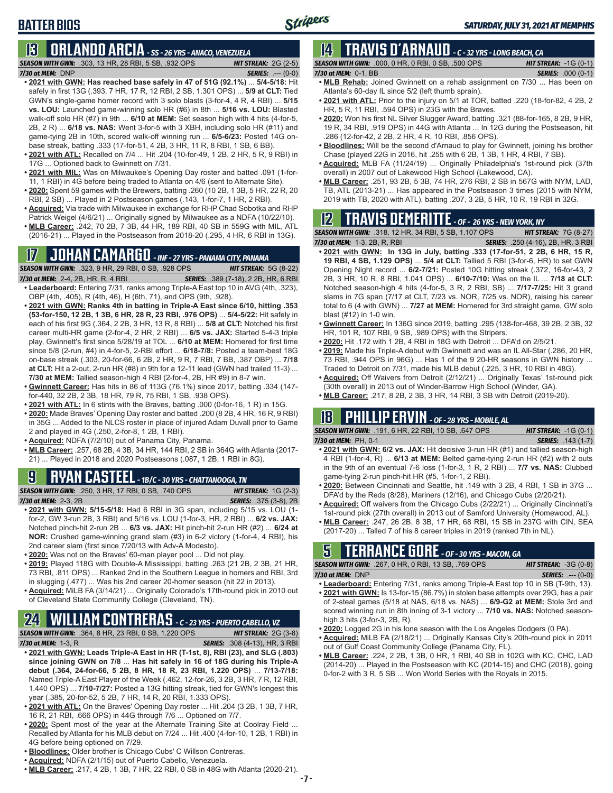*SEASON WITH GWN:*.303, 13 HR, 28 RBI, 5 SB, .932 OPS *HIT STREAK:* 2G (2-5) *7/30 at MEM:*DNP *SERIES:* .--- (0-0)

- **• 2021 with GWN: Has reached base safely in 47 of 51G (92.1%)** ... **5/4-5/18:** Hit safely in first 13G (.393, 7 HR, 17 R, 12 RBI, 2 SB, 1.301 OPS) ... **5/9 at CLT:** Tied GWN's single-game homer record with 3 solo blasts (3-for-4, 4 R, 4 RBI) ... **5/15 vs. LOU:** Launched game-winning solo HR (#6) in 8th ... **5/16 vs. LOU:** Blasted walk-off solo HR (#7) in 9th ... **6/10 at MEM:** Set season high with 4 hits (4-for-5, 2B, 2 R) ... **6/18 vs. NAS:** Went 3-for-5 with 3 XBH, including solo HR (#11) and game-tying 2B in 10th, scored walk-off winning run ... **6/5-6/23:** Posted 14G onbase streak, batting .333 (17-for-51, 4 2B, 3 HR, 11 R, 8 RBI, 1 SB, 6 BB).
- **• 2021 with ATL:** Recalled on 7/4 ... Hit .204 (10-for-49, 1 2B, 2 HR, 5 R, 9 RBI) in 17G ... Optioned back to Gwinnett on 7/31.
- **• 2021 with MIL:** Was on Milwaukee's Opening Day roster and batted .091 (1-for-11, 1 RBI) in 4G before being traded to Atlanta on 4/6 (sent to Alternate Site).
- **• 2020:** Spent 59 games with the Brewers, batting .260 (10 2B, 1 3B, 5 HR, 22 R, 20 RBI, 2 SB) ... Played in 2 Postseason games (.143, 1-for-7, 1 HR, 2 RBI).
- **• Acquired:** Via trade with Milwaukee in exchange for RHP Chad Sobotka and RHP Patrick Weigel (4/6/21) ... Originally signed by Milwaukee as a NDFA (10/22/10).
- **• MLB Career:** .242, 70 2B, 7 3B, 44 HR, 189 RBI, 40 SB in 559G with MIL, ATL (2016-21) ... Played in the Postseason from 2018-20 (.295, 4 HR, 6 RBI in 13G).

## **17 JOHAN CAMARGO** *- INF - 27 YRS - PANAMA CITY, PANAMA*

*SEASON WITH GWN:*.323, 9 HR, 29 RBI, 0 SB, .928 OPS *HIT STREAK:* 5G (8-22) *7/30 at MEM:* 2-4, 2B, HR, R, 4 RBI *SERIES:* .389 (7-18), 2 2B, HR, 6 RBI

- **• Leaderboard:** Entering 7/31, ranks among Triple-A East top 10 in AVG (4th, .323), OBP (4th, .405), R (4th, 46), H (6th, 71), and OPS (9th, .928).
- **• 2021 with GWN: Ranks 4th in batting in Triple-A East since 6/10, hitting .353 (53-for-150, 12 2B, 1 3B, 6 HR, 28 R, 23 RBI, .976 OPS)** ... **5/4-5/22:** Hit safely in each of his first 9G (.364, 2 2B, 3 HR, 13 R, 8 RBI) ... **5/8 at CLT:** Notched his first career multi-HR game (2-for-4, 2 HR, 2 RBI) ... **6/5 vs. JAX:** Started 5-4-3 triple play, Gwinnett's first since 5/28/19 at TOL ... **6/10 at MEM:** Homered for first time since 5/8 (2-run, #4) in 4-for-5, 2-RBI effort ... **6/18-7/8:** Posted a team-best 18G on-base streak (.303, 20-for-66, 6 2B, 2 HR, 9 R, 7 RBI, 7 BB, .387 OBP) ... **7/18 at CLT:** Hit a 2-out, 2-run HR (#8) in 9th for a 12-11 lead (GWN had trailed 11-3) ... **7/30 at MEM:** Tallied season-high 4 RBI (2-for-4, 2B, HR #9) in 8-7 win.
- **• Gwinnett Career:** Has hits in 86 of 113G (76.1%) since 2017, batting .334 (147 for-440, 32 2B, 2 3B, 18 HR, 79 R, 75 RBI, 1 SB, .938 OPS).
- **• 2021 with ATL:** In 6 stints with the Braves, batting .000 (0-for-16, 1 R) in 15G.
- **• 2020:** Made Braves' Opening Day roster and batted .200 (8 2B, 4 HR, 16 R, 9 RBI) in 35G ... Added to the NLCS roster in place of injured Adam Duvall prior to Game 2 and played in 4G (.250, 2-for-8, 1 2B, 1 RBI).
- **• Acquired:** NDFA (7/2/10) out of Panama City, Panama.
- **• MLB Career:** .257, 68 2B, 4 3B, 34 HR, 144 RBI, 2 SB in 364G with Atlanta (2017- 21) ... Played in 2018 and 2020 Postseasons (.087, 1 2B, 1 RBI in 8G).

## **9 RYAN CASTEEL** *- 1B/C - 30 YRS - CHATTANOOGA, TN*

*SEASON WITH GWN:*.250, 3 HR, 17 RBI, 0 SB, .740 OPS *HIT STREAK:* 1G (2-3) *7/30 at MEM:*2-3, 2B *SERIES:* .375 (3-8), 2B

- **• 2021 with GWN: 5/15-5/18:** Had 6 RBI in 3G span, including 5/15 vs. LOU (1 for-2, GW 3-run 2B, 3 RBI) and 5/16 vs. LOU (1-for-3, HR, 2 RBI) ... **6/2 vs. JAX:** Notched pinch-hit 2-run 2B ... **6/3 vs. JAX:** Hit pinch-hit 2-run HR (#2) ... **6/24 at NOR:** Crushed game-winning grand slam (#3) in 6-2 victory (1-for-4, 4 RBI), his 2nd career slam (first since 7/20/13 with Adv-A Modesto).
- **• 2020:** Was not on the Braves' 60-man player pool ... Did not play.
- **• 2019:** Played 118G with Double-A Mississippi, batting .263 (21 2B, 2 3B, 21 HR, 73 RBI, .811 OPS) ... Ranked 2nd in the Southern League in homers and RBI, 3rd in slugging (.477) ... Was his 2nd career 20-homer season (hit 22 in 2013).
- **• Acquired:** MiLB FA (3/14/21) ... Originally Colorado's 17th-round pick in 2010 out of Cleveland State Community College (Cleveland, TN).

## **24 WILLIAM CONTRERAS** *- C - 23 YRS - PUERTO CABELLO, VZ*

- *SEASON WITH GWN:*.364, 8 HR, 23 RBI, 0 SB, 1.220 OPS *HIT STREAK:* 2G (3-8) *7/30 at MEM:* 1-3, R *SERIES:* .308 (4-13), HR, 3 RBI
- **• 2021 with GWN: Leads Triple-A East in HR (T-1st, 8), RBI (23), and SLG (.803) since joining GWN on 7/8** ... **Has hit safely in 16 of 18G during his Triple-A debut (.364, 24-for-66, 5 2B, 8 HR, 18 R, 23 RBI, 1.220 OPS)** ... **7/13-7/18:** Named Triple-A East Player of the Week (.462, 12-for-26, 3 2B, 3 HR, 7 R, 12 RBI, 1.440 OPS) ... **7/10-7/27:** Posted a 13G hitting streak, tied for GWN's longest this year (.385, 20-for-52, 5 2B, 7 HR, 14 R, 20 RBI, 1.333 OPS).
- **• 2021 with ATL:** On the Braves' Opening Day roster ... Hit .204 (3 2B, 1 3B, 7 HR, 16 R, 21 RBI, .666 OPS) in 44G through 7/6 ... Optioned on 7/7.
- **• 2020:** Spent most of the year at the Alternate Training Site at Coolray Field ... Recalled by Atlanta for his MLB debut on 7/24 ... Hit .400 (4-for-10, 1 2B, 1 RBI) in 4G before being optioned on 7/29.
- **• Bloodlines:** Older brother is Chicago Cubs' C Willson Contreras.
- **• Acquired:** NDFA (2/1/15) out of Puerto Cabello, Venezuela.
- **• MLB Career:** .217, 4 2B, 1 3B, 7 HR, 22 RBI, 0 SB in 48G with Atlanta (2020-21).

# **14 TRAVIS d'ARNAUD** *- C - 32 YRS - LONG BEACH, CA*

Stripers

| <b>SEASON WITH GWN:</b> .000, 0 HR, 0 RBI, 0 SB, .500 OPS . | <b>HIT STREAK:</b> $-1G(0-1)$             |
|-------------------------------------------------------------|-------------------------------------------|
| 7/30 at MEM: 0-1, BB                                        | <b>SERIES:</b> .000 (0-1)                 |
|                                                             | and the second terms of the second second |

- **• MLB Rehab:** Joined Gwinnett on a rehab assignment on 7/30 ... Has been on Atlanta's 60-day IL since 5/2 (left thumb sprain).
- **• 2021 with ATL:** Prior to the injury on 5/1 at TOR, batted .220 (18-for-82, 4 2B, 2 HR, 5 R, 11 RBI, .594 OPS) in 23G with the Braves.
- **• 2020:** Won his first NL Silver Slugger Award, batting .321 (88-for-165, 8 2B, 9 HR, 19 R, 34 RBI, .919 OPS) in 44G with Atlanta ... In 12G during the Postseason, hit .286 (12-for-42, 2 2B, 2 HR, 4 R, 10 RBI, .856 OPS).
- **• Bloodlines:** Will be the second d'Arnaud to play for Gwinnett, joining his brother Chase (played 22G in 2016, hit .255 with 6 2B, 1 3B, 1 HR, 4 RBI, 7 SB).
- **• Acquired:** MLB FA (11/24/19) ... Originally Philadelphia's 1st-round pick (37th overall) in 2007 out of Lakewood High School (Lakewood, CA).
- **• MLB Career:** .251, 93 2B, 5 3B, 74 HR, 276 RBI, 2 SB in 567G with NYM, LAD, TB, ATL (2013-21) ... Has appeared in the Postseason 3 times (2015 with NYM, 2019 with TB, 2020 with ATL), batting .207, 3 2B, 5 HR, 10 R, 19 RBI in 32G.

## **12 TRAVIS DEMERITTE** *- OF - 26 YRS - NEW YORK, NY*

*SEASON WITH GWN:*.318, 12 HR, 34 RBI, 5 SB, 1.107 OPS *HIT STREAK:* 7G (8-27)

- *7/30 at MEM:*1-3, 2B, R, RBI *SERIES:* .250 (4-16), 2B, HR, 3 RBI **• 2021 with GWN: In 13G in July, batting .333 (17-for-51, 2 2B, 6 HR, 15 R, 19 RBI, 4 SB, 1.129 OPS)** ... **5/4 at CLT:** Tallied 5 RBI (3-for-6, HR) to set GWN Opening Night record ... **6/2-7/21:** Posted 10G hitting streak (.372, 16-for-43, 2 2B, 3 HR, 10 R, 8 RBI, 1.041 OPS) ... **6/10-7/10:** Was on the IL ... **7/18 at CLT:** Notched season-high 4 hits (4-for-5, 3 R, 2 RBI, SB) ... **7/17-7/25:** Hit 3 grand
	- slams in 7G span (7/17 at CLT, 7/23 vs. NOR, 7/25 vs. NOR), raising his career total to 6 (4 with GWN) ... **7/27 at MEM:** Homered for 3rd straight game, GW solo blast (#12) in 1-0 win.
- **• Gwinnett Career:** In 136G since 2019, batting .295 (138-for-468, 39 2B, 2 3B, 32 HR, 101 R, 107 RBI, 9 SB, .989 OPS) with the Stripers.
- **• 2020:** Hit .172 with 1 2B, 4 RBI in 18G with Detroit ... DFA'd on 2/5/21.
- **• 2019:** Made his Triple-A debut with Gwinnett and was an IL All-Star (.286, 20 HR, 73 RBI, .944 OPS in 96G) ... Has 1 of the 9 20-HR seasons in GWN history ... Traded to Detroit on 7/31, made his MLB debut (.225, 3 HR, 10 RBI in 48G).
- **• Acquired:** Off Waivers from Detroit (2/12/21) ... Originally Texas' 1st-round pick (30th overall) in 2013 out of Winder-Barrow High School (Winder, GA).
- **• MLB Career:** .217, 8 2B, 2 3B, 3 HR, 14 RBI, 3 SB with Detroit (2019-20).

## **18 PHILLIP ERVIN** *- OF - 28 YRS - MOBILE, AL*

| <b>SEASON WITH GWN:</b> .191, 6 HR, 22 RBI, 10 SB, .647 OPS                             | <b>HIT STREAK:</b> $-1G(0-1)$ |
|-----------------------------------------------------------------------------------------|-------------------------------|
| 7/30 at MEM: PH, 0-1                                                                    | <b>SERIES:</b> .143 (1-7)     |
| $\sim$ 0004 with CIMBL CIO $\sim$ 1AV, Hit designs 2 mm HD (44) and tallied appear high |                               |

- **• 2021 with GWN: 6/2 vs. JAX:** Hit decisive 3-run HR (#1) and tallied season-high 4 RBI (1-for-4, R) ... **6/13 at MEM:** Belted game-tying 2-run HR (#2) with 2 outs in the 9th of an eventual 7-6 loss (1-for-3, 1 R, 2 RBI) ... **7/7 vs. NAS:** Clubbed game-tying 2-run pinch-hit HR (#5, 1-for-1, 2 RBI).
- **• 2020:** Between Cincinnati and Seattle, hit .149 with 3 2B, 4 RBI, 1 SB in 37G ... DFA'd by the Reds (8/28), Mariners (12/16), and Chicago Cubs (2/20/21).
- **• Acquired:** Off waivers from the Chicago Cubs (2/22/21) ... Originally Cincinnati's 1st-round pick (27th overall) in 2013 out of Samford University (Homewood, AL).
- **• MLB Career:** .247, 26 2B, 8 3B, 17 HR, 68 RBI, 15 SB in 237G with CIN, SEA (2017-20) ... Talled 7 of his 8 career triples in 2019 (ranked 7th in NL).

## **5 TERRANCE GORE** *- OF - 30 YRS - MACON, GA*

| <b>SEASON WITH GWN:</b> .267, 0 HR, 0 RBI, 13 SB, .769 OPS                        | <b>HIT STREAK:</b> $-3G(0-8)$ |
|-----------------------------------------------------------------------------------|-------------------------------|
| $7/30$ at MEM: $DNP$                                                              | <b>SERIES:</b> $--- (0-0)$    |
| • Leaderboard: Entering 7/31, ranks among Triple-A East top 10 in SB (T-9th, 13). |                               |

- **• 2021 with GWN:** Is 13-for-15 (86.7%) in stolen base attempts over 29G, has a pair of 2-steal games (5/18 at NAS, 6/18 vs. NAS) ... **6/9-G2 at MEM:** Stole 3rd and scored winning run in 8th inning of 3-1 victory ... **7/10 vs. NAS:** Notched seasonhigh 3 hits (3-for-3, 2B, R).
- **• 2020:** Logged 2G in his lone season with the Los Angeles Dodgers (0 PA).
- **• Acquired:** MiLB FA (2/18/21) ... Originally Kansas City's 20th-round pick in 2011 out of Gulf Coast Community College (Panama City, FL).
- **• MLB Career:** .224, 2 2B, 1 3B, 0 HR, 1 RBI, 40 SB in 102G with KC, CHC, LAD (2014-20) ... Played in the Postseason with KC (2014-15) and CHC (2018), going 0-for-2 with 3 R, 5 SB ... Won World Series with the Royals in 2015.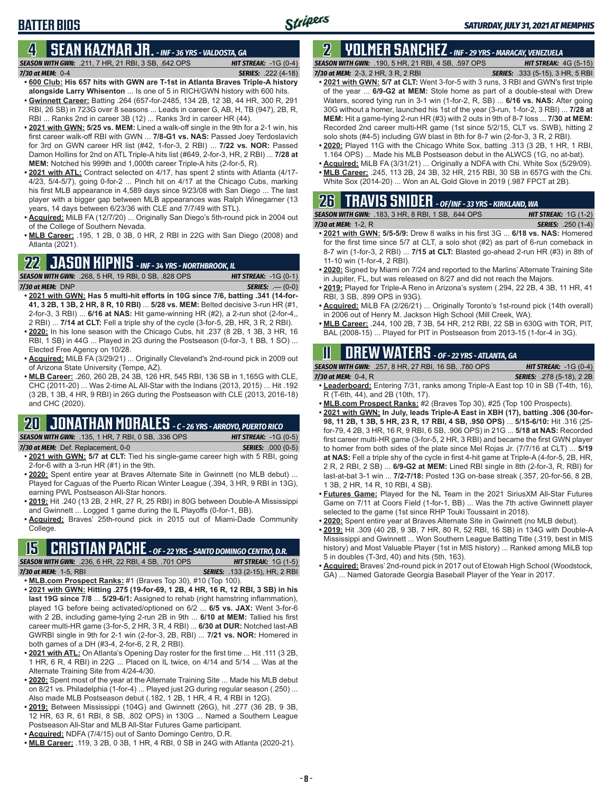## **4 SEAN KAZMAR JR.** *- INF - 36 YRS - VALDOSTA, GA*

*SEASON WITH GWN:*.211, 7 HR, 21 RBI, 3 SB, .642 OPS *HIT STREAK:* -1G (0-4) *7/30 at MEM:*0-4 *SERIES:* .222 (4-18)

- **• 600 Club: His 657 hits with GWN are T-1st in Atlanta Braves Triple-A history alongside Larry Whisenton** ... Is one of 5 in RICH/GWN history with 600 hits. **• Gwinnett Career:** Batting .264 (657-for-2485, 134 2B, 12 3B, 44 HR, 300 R, 291
- RBI, 26 SB) in 723G over 8 seasons ... Leads in career G, AB, H, TB (947), 2B, R, RBI ... Ranks 2nd in career 3B (12) ... Ranks 3rd in career HR (44).
- **• 2021 with GWN: 5/25 vs. MEM:** Lined a walk-off single in the 9th for a 2-1 win, his first career walk-off RBI with GWN ... **7/8-G1 vs. NAS:** Passed Joey Terdoslavich for 3rd on GWN career HR list (#42, 1-for-3, 2 RBI) ... **7/22 vs. NOR:** Passed Damon Hollins for 2nd on ATL Triple-A hits list (#649, 2-for-3, HR, 2 RBI) ... **7/28 at MEM:** Notched his 999th and 1,000th career Triple-A hits (2-for-5, R).
- **• 2021 with ATL:** Contract selected on 4/17, has spent 2 stints with Atlanta (4/17- 4/23, 5/4-5/7), going 0-for-2 ... Pinch hit on 4/17 at the Chicago Cubs, marking his first MLB appearance in 4,589 days since 9/23/08 with San Diego ... The last player with a bigger gap between MLB appearances was Ralph Winegarner (13 years, 14 days between 6/23/36 with CLE and 7/7/49 with STL).
- **• Acquired:** MiLB FA (12/7/20) ... Originally San Diego's 5th-round pick in 2004 out of the College of Southern Nevada.
- **• MLB Career:** .195, 1 2B, 0 3B, 0 HR, 2 RBI in 22G with San Diego (2008) and Atlanta (2021).

### **22 JASON KIPNIS** *- INF - 34 YRS - NORTHBROOK, IL*

*SEASON WITH GWN:*.268, 5 HR, 19 RBI, 0 SB, .828 OPS *HIT STREAK:* -1G (0-1) *7/30 at MEM:*DNP *SERIES:* .--- (0-0)

- **• 2021 with GWN: Has 5 multi-hit efforts in 10G since 7/6, batting .341 (14-for-41, 3 2B, 1 3B, 2 HR, 8 R, 10 RBI)** ... **5/28 vs. MEM:** Belted decisive 3-run HR (#1, 2-for-3, 3 RBI) ... **6/16 at NAS:** Hit game-winning HR (#2), a 2-run shot (2-for-4,, 2 RBI) ... **7/14 at CLT:** Fell a triple shy of the cycle (3-for-5, 2B, HR, 3 R, 2 RBI).
- **• 2020:** In his lone season with the Chicago Cubs, hit .237 (8 2B, 1 3B, 3 HR, 16 RBI, 1 SB) in 44G ... Played in 2G during the Postseason (0-for-3, 1 BB, 1 SO) ... Elected Free Agency on 10/28.
- **• Acquired:** MiLB FA (3/29/21) ... Originally Cleveland's 2nd-round pick in 2009 out of Arizona State University (Tempe, AZ).
- **• MLB Career:** .260, 260 2B, 24 3B, 126 HR, 545 RBI, 136 SB in 1,165G with CLE, CHC (2011-20) ... Was 2-time AL All-Star with the Indians (2013, 2015) ... Hit .192 (3 2B, 1 3B, 4 HR, 9 RBI) in 26G during the Postseason with CLE (2013, 2016-18) and CHC (2020).

## **20 JONATHAN MORALES** *- C - 26 YRS - ARROYO, PUERTO RICO*

*SEASON WITH GWN:*.135, 1 HR, 7 RBI, 0 SB, .336 OPS *HIT STREAK:* -1G (0-5)

- *7/30 at MEM:*Def. Replacement, 0-0 *SERIES:* .000 (0-5)
- **• 2021 with GWN: 5/7 at CLT:** Tied his single-game career high with 5 RBI, going 2-for-6 with a 3-run HR (#1) in the 9th.
- **• 2020:** Spent entire year at Braves Alternate Site in Gwinnett (no MLB debut) ... Played for Caguas of the Puerto Rican Winter League (.394, 3 HR, 9 RBI in 13G), earning PWL Postseason All-Star honors.
- **• 2019:** Hit .240 (13 2B, 2 HR, 27 R, 25 RBI) in 80G between Double-A Mississippi and Gwinnett ... Logged 1 game during the IL Playoffs (0-for-1, BB).
- **• Acquired:** Braves' 25th-round pick in 2015 out of Miami-Dade Community College.

## **15 CRISTIAN PACHE** *- OF - 22 YRS - SANTO DOMINGO CENTRO, D.R.*

*SEASON WITH GWN:*.236, 6 HR, 22 RBI, 4 SB, .701 OPS *HIT STREAK:* 1G (1-5) *7/30 at MEM:* 1-5, RBI *SERIES:* .133 (2-15), HR, 2 RBI

- **• MLB.com Prospect Ranks:** #1 (Braves Top 30), #10 (Top 100).
- **• 2021 with GWN: Hitting .275 (19-for-69, 1 2B, 4 HR, 16 R, 12 RBI, 3 SB) in his last 19G since 7/8** ... **5/29-6/1:** Assigned to rehab (right hamstring inflammation), played 1G before being activated/optioned on 6/2 ... **6/5 vs. JAX:** Went 3-for-6 with 2 2B, including game-tying 2-run 2B in 9th ... **6/10 at MEM:** Tallied his first career multi-HR game (3-for-5, 2 HR, 3 R, 4 RBI) ... **6/30 at DUR:** Notched last-AB GWRBI single in 9th for 2-1 win (2-for-3, 2B, RBI) ... **7/21 vs. NOR:** Homered in both games of a DH (#3-4, 2-for-6, 2 R, 2 RBI).
- **• 2021 with ATL:** On Atlanta's Opening Day roster for the first time ... Hit .111 (3 2B, 1 HR, 6 R, 4 RBI) in 22G ... Placed on IL twice, on 4/14 and 5/14 ... Was at the Alternate Training Site from 4/24-4/30.
- **• 2020:** Spent most of the year at the Alternate Training Site ... Made his MLB debut on 8/21 vs. Philadelphia (1-for-4) ... Played just 2G during regular season (.250) ... Also made MLB Postseason debut (.182, 1 2B, 1 HR, 4 R, 4 RBI in 12G).
- **• 2019:** Between Mississippi (104G) and Gwinnett (26G), hit .277 (36 2B, 9 3B, 12 HR, 63 R, 61 RBI, 8 SB, .802 OPS) in 130G ... Named a Southern League Postseason All-Star and MLB All-Star Futures Game participant.
- **• Acquired:** NDFA (7/4/15) out of Santo Domingo Centro, D.R.
- **• MLB Career:** .119, 3 2B, 0 3B, 1 HR, 4 RBI, 0 SB in 24G with Atlanta (2020-21).

### **2 YOLMER SANCHEZ** *- INF - 29 YRS - MARACAY, VENEZUELA SEASON WITH GWN:*.190, 5 HR, 21 RBI, 4 SB, .597 OPS *HIT STREAK:* 4G (5-15)

*7/30 at MEM:*2-3, 2 HR, 3 R, 2 RBI *SERIES:* .333 (5-15), 3 HR, 5 RBI

- **• 2021 with GWN: 5/7 at CLT:** Went 3-for-5 with 3 runs, 3 RBI and GWN's first triple of the year ... **6/9-G2 at MEM:** Stole home as part of a double-steal with Drew Waters, scored tying run in 3-1 win (1-for-2, R, SB) ... **6/16 vs. NAS:** After going 30G without a homer, launched his 1st of the year (3-run, 1-for-2, 3 RBI) ... **7/28 at MEM:** Hit a game-tying 2-run HR (#3) with 2 outs in 9th of 8-7 loss ... **7/30 at MEM:** Recorded 2nd career multi-HR game (1st since 5/2/15, CLT vs. SWB), hitting 2 solo shots (#4-5) including GW blast in 8th for 8-7 win (2-for-3, 3 R, 2 RBI).
- **• 2020:** Played 11G with the Chicago White Sox, batting .313 (3 2B, 1 HR, 1 RBI, 1.164 OPS) ... Made his MLB Postseason debut in the ALWCS (1G, no at-bat).
- **• Acquired:** MiLB FA (3/31/21) ... Originally a NDFA with Chi. White Sox (5/29/09). **• MLB Career:** .245, 113 2B, 24 3B, 32 HR, 215 RBI, 30 SB in 657G with the Chi.
- White Sox (2014-20) ... Won an AL Gold Glove in 2019 (.987 FPCT at 2B).

## **26 TRAVIS SNIDER** *- OF/INF - 33 YRS - KIRKLAND, WA*

| <b>SEASON WITH GWN: .183, 3 HR, 8 RBI, 1 SB, .644 OPS</b> | <b>HIT STREAK:</b> $1G(1-2)$ |
|-----------------------------------------------------------|------------------------------|
| 7/30 at MEM: 1-2, R                                       | <b>SERIES:</b> .250 (1-4)    |

- **• 2021 with GWN: 5/5-5/9:** Drew 8 walks in his first 3G ... **6/18 vs. NAS:** Homered for the first time since 5/7 at CLT, a solo shot (#2) as part of 6-run comeback in 8-7 win (1-for-3, 2 RBI) ... **7/15 at CLT:** Blasted go-ahead 2-run HR (#3) in 8th of 11-10 win (1-for-4, 2 RBI).
- **• 2020:** Signed by Miami on 7/24 and reported to the Marlins' Alternate Training Site in Jupiter, FL, but was released on 8/27 and did not reach the Majors.
- **• 2019:** Played for Triple-A Reno in Arizona's system (.294, 22 2B, 4 3B, 11 HR, 41 RBI, 3 SB, .899 OPS in 93G).
- **• Acquired:** MiLB FA (2/26/21) ... Originally Toronto's 1st-round pick (14th overall) in 2006 out of Henry M. Jackson High School (Mill Creek, WA).
- **• MLB Career:** .244, 100 2B, 7 3B, 54 HR, 212 RBI, 22 SB in 630G with TOR, PIT, BAL (2008-15) ... Played for PIT in Postseason from 2013-15 (1-for-4 in 3G).

## **11 Drew WATERS** *- OF - 22 YRS - ATLANTA, GA*

| <b>SEASON WITH GWN: .257, 8 HR, 27 RBI, 16 SB, .780 OPS</b> | <b>HIT STREAK:</b> $-1G(0-4)$    |
|-------------------------------------------------------------|----------------------------------|
| 7/30 at MEM: $0-4, R$                                       | <b>SERIES:</b> .278 (5-18), 2 2B |
|                                                             |                                  |

- **• Leaderboard:** Entering 7/31, ranks among Triple-A East top 10 in SB (T-4th, 16), R (T-6th, 44), and 2B (10th, 17).
- **• MLB.com Prospect Ranks:** #2 (Braves Top 30), #25 (Top 100 Prospects).
- **• 2021 with GWN: In July, leads Triple-A East in XBH (17), batting .306 (30-for-98, 11 2B, 1 3B, 5 HR, 23 R, 17 RBI, 4 SB, .950 OPS)** ... **5/15-6/10:** Hit .316 (25 for-79, 4 2B, 3 HR, 16 R, 9 RBI, 6 SB, .906 OPS) in 21G ... **5/18 at NAS:** Recorded first career multi-HR game (3-for-5, 2 HR, 3 RBI) and became the first GWN player to homer from both sides of the plate since Mel Rojas Jr. (7/7/16 at CLT) ... **5/19 at NAS:** Fell a triple shy of the cycle in first 4-hit game at Triple-A (4-for-5, 2B, HR, 2 R, 2 RBI, 2 SB) ... **6/9-G2 at MEM:** Lined RBI single in 8th (2-for-3, R, RBI) for last-at-bat 3-1 win ... **7/2-7/18:** Posted 13G on-base streak (.357, 20-for-56, 8 2B, 1 3B, 2 HR, 14 R, 10 RBI, 4 SB).
- **• Futures Game:** Played for the NL Team in the 2021 SiriusXM All-Star Futures Game on 7/11 at Coors Field (1-for-1, BB) ... Was the 7th active Gwinnett player selected to the game (1st since RHP Touki Toussaint in 2018).
- **• 2020:** Spent entire year at Braves Alternate Site in Gwinnett (no MLB debut).
- **• 2019:** Hit .309 (40 2B, 9 3B, 7 HR, 80 R, 52 RBI, 16 SB) in 134G with Double-A Mississippi and Gwinnett ... Won Southern League Batting Title (.319, best in MIS history) and Most Valuable Player (1st in MIS history) ... Ranked among MiLB top 5 in doubles (T-3rd, 40) and hits (5th, 163).
- **• Acquired:** Braves' 2nd-round pick in 2017 out of Etowah High School (Woodstock, GA) ... Named Gatorade Georgia Baseball Player of the Year in 2017.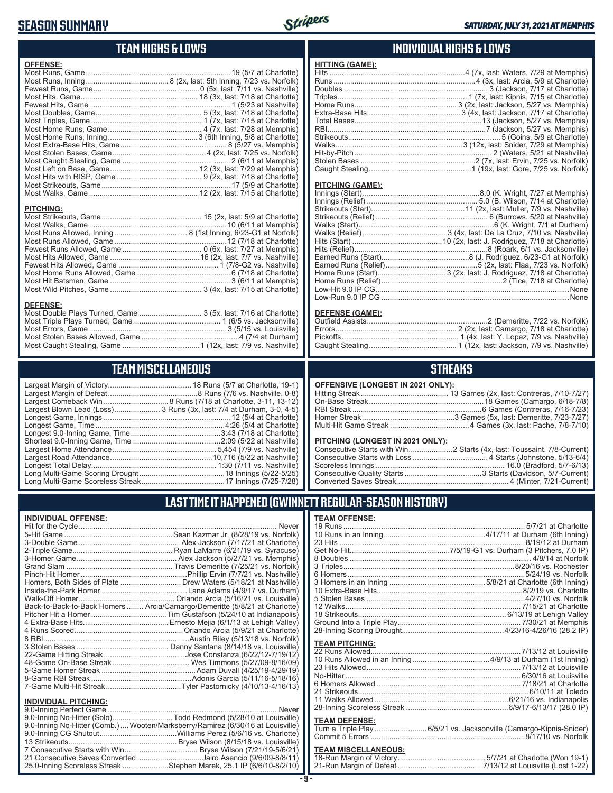## **SEASON SUMMARY**



### **TEAM HIGHS & LOWS**

| <b>OFFENSE:</b>  |  |
|------------------|--|
|                  |  |
|                  |  |
|                  |  |
|                  |  |
|                  |  |
|                  |  |
|                  |  |
|                  |  |
|                  |  |
|                  |  |
|                  |  |
|                  |  |
|                  |  |
|                  |  |
|                  |  |
|                  |  |
|                  |  |
| <b>PITCHING:</b> |  |
|                  |  |
|                  |  |
|                  |  |
|                  |  |
|                  |  |
|                  |  |
|                  |  |

### **INDIVIDUAL HIGHS & LOWS**

| <b>HITTING (GAME):</b> |  |
|------------------------|--|
|                        |  |
|                        |  |
|                        |  |
|                        |  |
|                        |  |
|                        |  |
|                        |  |
|                        |  |
|                        |  |
|                        |  |
|                        |  |
|                        |  |
|                        |  |
|                        |  |

#### **PITCHING (GAME):**

#### **DEFENSE (GAME):**

### **STREAKS**

#### **OFFENSIVE (LONGEST IN 2021 ONLY):**

#### **PITCHING (LONGEST IN 2021 ONLY):**

### **LAST TIME IT HAPPENED (GWINNETT REGULAR-SEASON HISTORY)**

| <b>TEAM OFFENSE:</b>  |  |
|-----------------------|--|
|                       |  |
|                       |  |
|                       |  |
|                       |  |
|                       |  |
|                       |  |
|                       |  |
|                       |  |
|                       |  |
|                       |  |
|                       |  |
|                       |  |
|                       |  |
|                       |  |
| <b>TEAM PITCHING:</b> |  |
|                       |  |
|                       |  |
|                       |  |
|                       |  |
|                       |  |
|                       |  |
|                       |  |
|                       |  |
|                       |  |

#### **TEAM DEFENSE:**

|  | Turn a Triple Play 6/5/21 vs. Jacksonville (Camargo-Kipnis-Snider) |
|--|--------------------------------------------------------------------|
|  |                                                                    |

### **TEAM MISCELLANEOUS:**<br>18-Run Margin of Victory....

### **TEAM MISCELLANEOUS**

Most Home Runs Allowed, Game .............................................6 (7/18 at Charlotte) Most Hit Batsmen, Game ..........................................................3 (6/11 at Memphis) Most Wild Pitches, Game ............................................ 3 (4x, last: 7/15 at Charlotte)

Most Double Plays Turned, Game .............................. 3 (5x, last: 7/16 at Charlotte) Most Triple Plays Turned, Game .......................................... 1 (6/5 vs. Jacksonville) Most Errors, Game ..................................................................3 (5/15 vs. Louisville) Most Stolen Bases Allowed, Game ...............................................4 (7/4 at Durham) Most Caught Stealing, Game .....................................1 (12x, last: 7/9 vs. Nashville)

| Largest Blown Lead (Loss) 3 Runs (3x, last: 7/4 at Durham, 3-0, 4-5) |
|----------------------------------------------------------------------|
|                                                                      |
|                                                                      |
|                                                                      |
|                                                                      |
|                                                                      |
|                                                                      |
|                                                                      |
|                                                                      |
|                                                                      |

### **INDIVIDUAL OFFENSE:**

**DEFENSE:**

| Never                                                                      |
|----------------------------------------------------------------------------|
|                                                                            |
|                                                                            |
|                                                                            |
|                                                                            |
|                                                                            |
|                                                                            |
| Homers, Both Sides of Plate  Drew Waters (5/18/21 at Nashville)            |
|                                                                            |
|                                                                            |
| Back-to-Back-to-Back Homers  Arcia/Camargo/Demeritte (5/8/21 at Charlotte) |
|                                                                            |
|                                                                            |
|                                                                            |
|                                                                            |
|                                                                            |
|                                                                            |
|                                                                            |
|                                                                            |
|                                                                            |
|                                                                            |
|                                                                            |

### **INDIVIDUAL PITCHING:**

| 9.0-Inning No-Hitter (Comb.) Wooten/Marksberry/Ramirez (6/30/16 at Louisville) |  |
|--------------------------------------------------------------------------------|--|
|                                                                                |  |
|                                                                                |  |
|                                                                                |  |
| 21 Consecutive Saves Converted Jairo Asencio (9/6/09-8/8/11)                   |  |
| 25.0-Inning Scoreless Streak Stephen Marek, 25.1 IP (6/6/10-8/2/10)            |  |